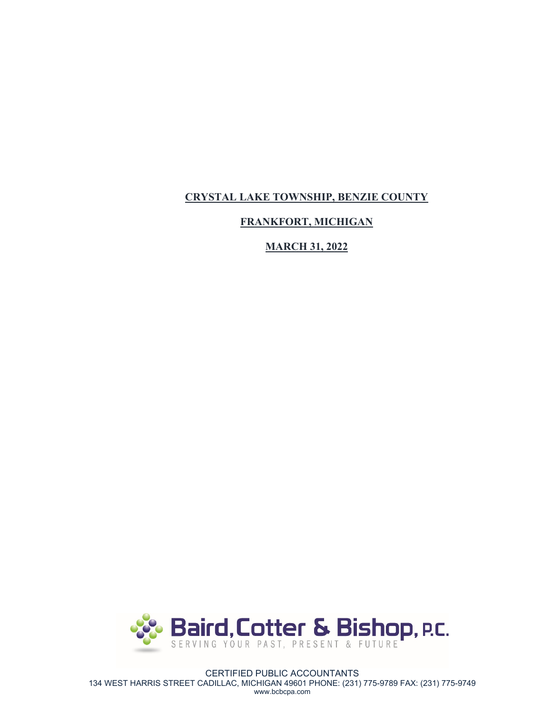**FRANKFORT, MICHIGAN**

**MARCH 31, 2022**



CERTIFIED PUBLIC ACCOUNTANTS 134 WEST HARRIS STREET CADILLAC, MICHIGAN 49601 PHONE: (231) 775-9789 FAX: (231) 775-9749 www.bcbcpa.com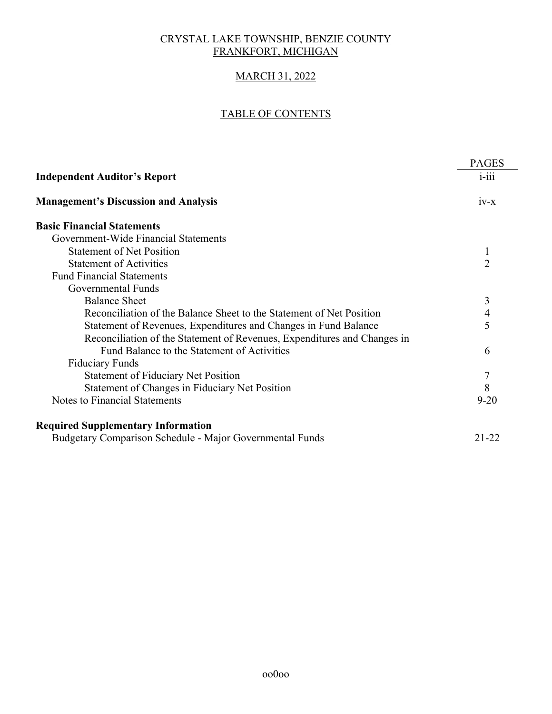# MARCH 31, 2022

# TABLE OF CONTENTS

|                                                                          | <b>PAGES</b>   |
|--------------------------------------------------------------------------|----------------|
| <b>Independent Auditor's Report</b>                                      | $i$ -iii       |
| <b>Management's Discussion and Analysis</b>                              | $1V-X$         |
| <b>Basic Financial Statements</b>                                        |                |
| Government-Wide Financial Statements                                     |                |
| <b>Statement of Net Position</b>                                         | $\mathbf{1}$   |
| <b>Statement of Activities</b>                                           | $\overline{2}$ |
| <b>Fund Financial Statements</b>                                         |                |
| <b>Governmental Funds</b>                                                |                |
| <b>Balance Sheet</b>                                                     | 3              |
| Reconciliation of the Balance Sheet to the Statement of Net Position     | $\overline{4}$ |
| Statement of Revenues, Expenditures and Changes in Fund Balance          | 5              |
| Reconciliation of the Statement of Revenues, Expenditures and Changes in |                |
| Fund Balance to the Statement of Activities                              | 6              |
| <b>Fiduciary Funds</b>                                                   |                |
| <b>Statement of Fiduciary Net Position</b>                               |                |
| Statement of Changes in Fiduciary Net Position                           | 8              |
| Notes to Financial Statements                                            | $9 - 20$       |
| <b>Required Supplementary Information</b>                                |                |
| Budgetary Comparison Schedule - Major Governmental Funds                 | $21 - 22$      |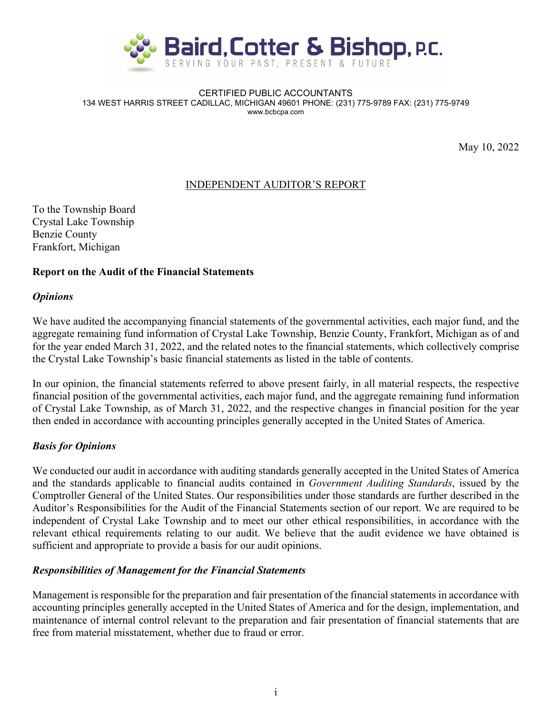

CERTIFIED PUBLIC ACCOUNTANTS 134 WEST HARRIS STREET CADILLAC, MICHIGAN 49601 PHONE: (231) 775-9789 FAX: (231) 775-9749 www.bcbcpa.com

May 10, 2022

# INDEPENDENT AUDITOR'S REPORT

To the Township Board Crystal Lake Township Benzie County Frankfort, Michigan

### **Report on the Audit of the Financial Statements**

#### *Opinions*

We have audited the accompanying financial statements of the governmental activities, each major fund, and the aggregate remaining fund information of Crystal Lake Township, Benzie County, Frankfort, Michigan as of and for the year ended March 31, 2022, and the related notes to the financial statements, which collectively comprise the Crystal Lake Township's basic financial statements as listed in the table of contents.

In our opinion, the financial statements referred to above present fairly, in all material respects, the respective financial position of the governmental activities, each major fund, and the aggregate remaining fund information of Crystal Lake Township, as of March 31, 2022, and the respective changes in financial position for the year then ended in accordance with accounting principles generally accepted in the United States of America.

# *Basis for Opinions*

We conducted our audit in accordance with auditing standards generally accepted in the United States of America and the standards applicable to financial audits contained in *Government Auditing Standards*, issued by the Comptroller General of the United States. Our responsibilities under those standards are further described in the Auditor's Responsibilities for the Audit of the Financial Statements section of our report. We are required to be independent of Crystal Lake Township and to meet our other ethical responsibilities, in accordance with the relevant ethical requirements relating to our audit. We believe that the audit evidence we have obtained is sufficient and appropriate to provide a basis for our audit opinions.

#### *Responsibilities of Management for the Financial Statements*

Management is responsible for the preparation and fair presentation of the financial statements in accordance with accounting principles generally accepted in the United States of America and for the design, implementation, and maintenance of internal control relevant to the preparation and fair presentation of financial statements that are free from material misstatement, whether due to fraud or error.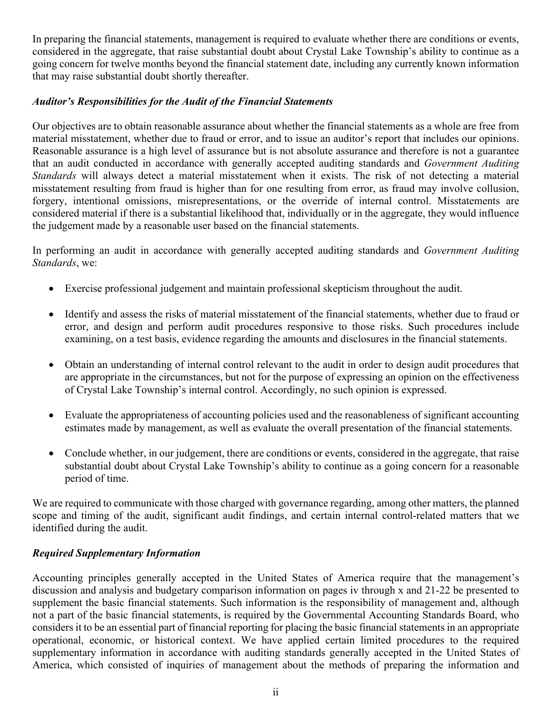In preparing the financial statements, management is required to evaluate whether there are conditions or events, considered in the aggregate, that raise substantial doubt about Crystal Lake Township's ability to continue as a going concern for twelve months beyond the financial statement date, including any currently known information that may raise substantial doubt shortly thereafter.

# *Auditor's Responsibilities for the Audit of the Financial Statements*

Our objectives are to obtain reasonable assurance about whether the financial statements as a whole are free from material misstatement, whether due to fraud or error, and to issue an auditor's report that includes our opinions. Reasonable assurance is a high level of assurance but is not absolute assurance and therefore is not a guarantee that an audit conducted in accordance with generally accepted auditing standards and *Government Auditing Standards* will always detect a material misstatement when it exists. The risk of not detecting a material misstatement resulting from fraud is higher than for one resulting from error, as fraud may involve collusion, forgery, intentional omissions, misrepresentations, or the override of internal control. Misstatements are considered material if there is a substantial likelihood that, individually or in the aggregate, they would influence the judgement made by a reasonable user based on the financial statements.

In performing an audit in accordance with generally accepted auditing standards and *Government Auditing Standards*, we:

- Exercise professional judgement and maintain professional skepticism throughout the audit.
- Identify and assess the risks of material misstatement of the financial statements, whether due to fraud or error, and design and perform audit procedures responsive to those risks. Such procedures include examining, on a test basis, evidence regarding the amounts and disclosures in the financial statements.
- Obtain an understanding of internal control relevant to the audit in order to design audit procedures that are appropriate in the circumstances, but not for the purpose of expressing an opinion on the effectiveness of Crystal Lake Township's internal control. Accordingly, no such opinion is expressed.
- Evaluate the appropriateness of accounting policies used and the reasonableness of significant accounting estimates made by management, as well as evaluate the overall presentation of the financial statements.
- Conclude whether, in our judgement, there are conditions or events, considered in the aggregate, that raise substantial doubt about Crystal Lake Township's ability to continue as a going concern for a reasonable period of time.

We are required to communicate with those charged with governance regarding, among other matters, the planned scope and timing of the audit, significant audit findings, and certain internal control-related matters that we identified during the audit.

# *Required Supplementary Information*

Accounting principles generally accepted in the United States of America require that the management's discussion and analysis and budgetary comparison information on pages iv through x and 21-22 be presented to supplement the basic financial statements. Such information is the responsibility of management and, although not a part of the basic financial statements, is required by the Governmental Accounting Standards Board, who considers it to be an essential part of financial reporting for placing the basic financial statements in an appropriate operational, economic, or historical context. We have applied certain limited procedures to the required supplementary information in accordance with auditing standards generally accepted in the United States of America, which consisted of inquiries of management about the methods of preparing the information and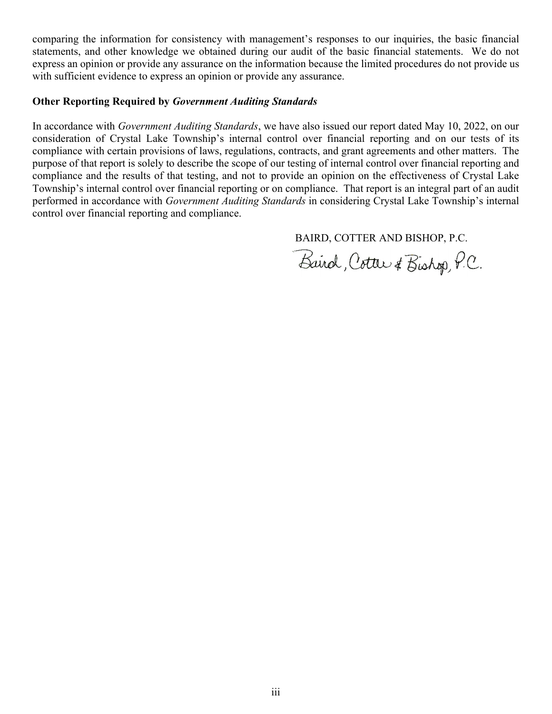comparing the information for consistency with management's responses to our inquiries, the basic financial statements, and other knowledge we obtained during our audit of the basic financial statements. We do not express an opinion or provide any assurance on the information because the limited procedures do not provide us with sufficient evidence to express an opinion or provide any assurance.

#### **Other Reporting Required by** *Government Auditing Standards*

In accordance with *Government Auditing Standards*, we have also issued our report dated May 10, 2022, on our consideration of Crystal Lake Township's internal control over financial reporting and on our tests of its compliance with certain provisions of laws, regulations, contracts, and grant agreements and other matters. The purpose of that report is solely to describe the scope of our testing of internal control over financial reporting and compliance and the results of that testing, and not to provide an opinion on the effectiveness of Crystal Lake Township's internal control over financial reporting or on compliance. That report is an integral part of an audit performed in accordance with *Government Auditing Standards* in considering Crystal Lake Township's internal control over financial reporting and compliance.

BAIRD, COTTER AND BISHOP, P.C.

Baird, Cotter & Bishop, P.C.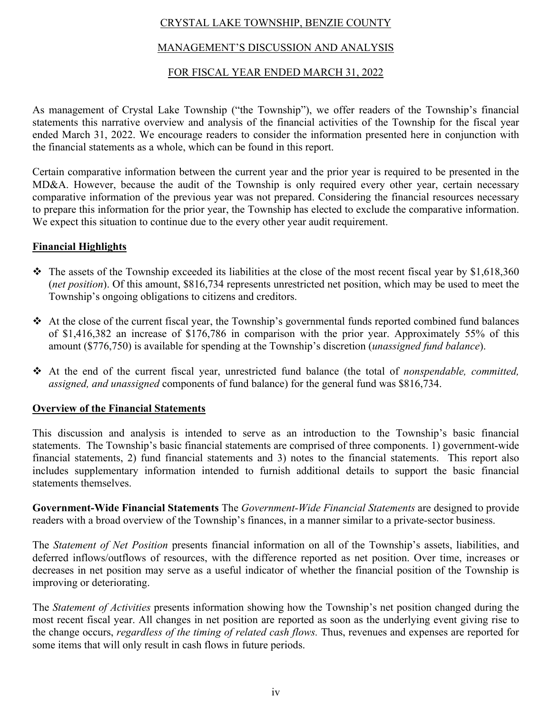# MANAGEMENT'S DISCUSSION AND ANALYSIS

# FOR FISCAL YEAR ENDED MARCH 31, 2022

As management of Crystal Lake Township ("the Township"), we offer readers of the Township's financial statements this narrative overview and analysis of the financial activities of the Township for the fiscal year ended March 31, 2022. We encourage readers to consider the information presented here in conjunction with the financial statements as a whole, which can be found in this report.

Certain comparative information between the current year and the prior year is required to be presented in the MD&A. However, because the audit of the Township is only required every other year, certain necessary comparative information of the previous year was not prepared. Considering the financial resources necessary to prepare this information for the prior year, the Township has elected to exclude the comparative information. We expect this situation to continue due to the every other year audit requirement.

# **Financial Highlights**

- $\cdot$  The assets of the Township exceeded its liabilities at the close of the most recent fiscal year by \$1,618,360 (*net position*). Of this amount, \$816,734 represents unrestricted net position, which may be used to meet the Township's ongoing obligations to citizens and creditors.
- At the close of the current fiscal year, the Township's governmental funds reported combined fund balances of \$1,416,382 an increase of \$176,786 in comparison with the prior year. Approximately 55% of this amount (\$776,750) is available for spending at the Township's discretion (*unassigned fund balance*).
- At the end of the current fiscal year, unrestricted fund balance (the total of *nonspendable, committed, assigned, and unassigned* components of fund balance) for the general fund was \$816,734.

# **Overview of the Financial Statements**

This discussion and analysis is intended to serve as an introduction to the Township's basic financial statements. The Township's basic financial statements are comprised of three components. 1) government-wide financial statements, 2) fund financial statements and 3) notes to the financial statements. This report also includes supplementary information intended to furnish additional details to support the basic financial statements themselves.

**Government-Wide Financial Statements** The *Government-Wide Financial Statements* are designed to provide readers with a broad overview of the Township's finances, in a manner similar to a private-sector business.

The *Statement of Net Position* presents financial information on all of the Township's assets, liabilities, and deferred inflows/outflows of resources, with the difference reported as net position. Over time, increases or decreases in net position may serve as a useful indicator of whether the financial position of the Township is improving or deteriorating.

The *Statement of Activities* presents information showing how the Township's net position changed during the most recent fiscal year. All changes in net position are reported as soon as the underlying event giving rise to the change occurs, *regardless of the timing of related cash flows.* Thus, revenues and expenses are reported for some items that will only result in cash flows in future periods.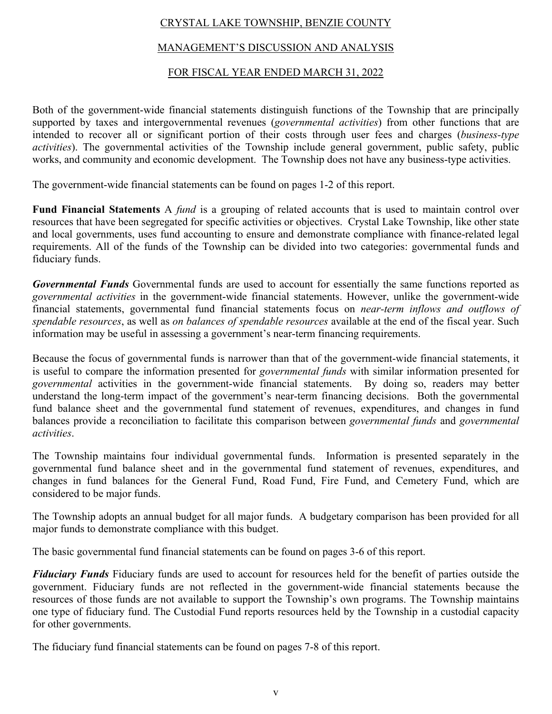# MANAGEMENT'S DISCUSSION AND ANALYSIS

# FOR FISCAL YEAR ENDED MARCH 31, 2022

Both of the government-wide financial statements distinguish functions of the Township that are principally supported by taxes and intergovernmental revenues (*governmental activities*) from other functions that are intended to recover all or significant portion of their costs through user fees and charges (*business-type activities*). The governmental activities of the Township include general government, public safety, public works, and community and economic development. The Township does not have any business-type activities.

The government-wide financial statements can be found on pages 1-2 of this report.

**Fund Financial Statements** A *fund* is a grouping of related accounts that is used to maintain control over resources that have been segregated for specific activities or objectives. Crystal Lake Township, like other state and local governments, uses fund accounting to ensure and demonstrate compliance with finance-related legal requirements. All of the funds of the Township can be divided into two categories: governmental funds and fiduciary funds.

*Governmental Funds* Governmental funds are used to account for essentially the same functions reported as *governmental activities* in the government-wide financial statements. However, unlike the government-wide financial statements, governmental fund financial statements focus on *near-term inflows and outflows of spendable resources*, as well as *on balances of spendable resources* available at the end of the fiscal year. Such information may be useful in assessing a government's near-term financing requirements.

Because the focus of governmental funds is narrower than that of the government-wide financial statements, it is useful to compare the information presented for *governmental funds* with similar information presented for *governmental* activities in the government-wide financial statements. By doing so, readers may better understand the long-term impact of the government's near-term financing decisions. Both the governmental fund balance sheet and the governmental fund statement of revenues, expenditures, and changes in fund balances provide a reconciliation to facilitate this comparison between *governmental funds* and *governmental activities*.

The Township maintains four individual governmental funds. Information is presented separately in the governmental fund balance sheet and in the governmental fund statement of revenues, expenditures, and changes in fund balances for the General Fund, Road Fund, Fire Fund, and Cemetery Fund, which are considered to be major funds.

The Township adopts an annual budget for all major funds. A budgetary comparison has been provided for all major funds to demonstrate compliance with this budget.

The basic governmental fund financial statements can be found on pages 3-6 of this report.

*Fiduciary Funds* Fiduciary funds are used to account for resources held for the benefit of parties outside the government. Fiduciary funds are not reflected in the government-wide financial statements because the resources of those funds are not available to support the Township's own programs. The Township maintains one type of fiduciary fund. The Custodial Fund reports resources held by the Township in a custodial capacity for other governments.

The fiduciary fund financial statements can be found on pages 7-8 of this report.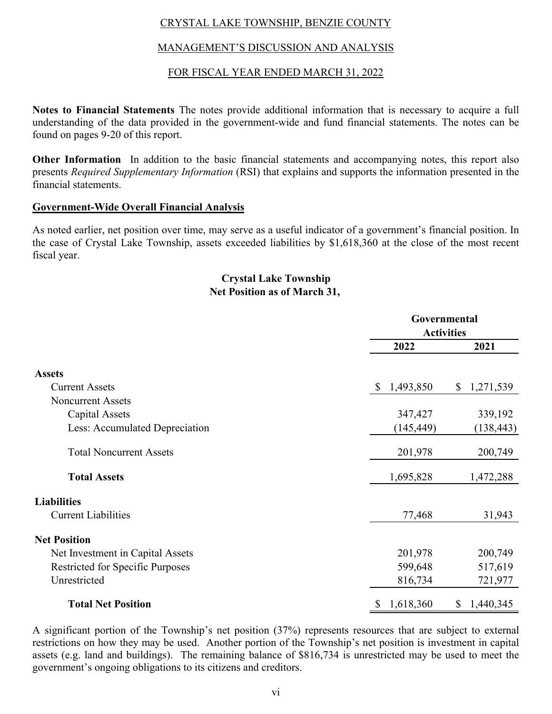## MANAGEMENT'S DISCUSSION AND ANALYSIS

## FOR FISCAL YEAR ENDED MARCH 31, 2022

**Notes to Financial Statements** The notes provide additional information that is necessary to acquire a full understanding of the data provided in the government-wide and fund financial statements. The notes can be found on pages 9-20 of this report.

**Other Information** In addition to the basic financial statements and accompanying notes, this report also presents *Required Supplementary Information* (RSI) that explains and supports the information presented in the financial statements.

#### **Government-Wide Overall Financial Analysis**

As noted earlier, net position over time, may serve as a useful indicator of a government's financial position. In the case of Crystal Lake Township, assets exceeded liabilities by \$1,618,360 at the close of the most recent fiscal year.

# **Net Position as of March 31, Crystal Lake Township**

|                                  |                            | Governmental<br><b>Activities</b> |  |  |  |
|----------------------------------|----------------------------|-----------------------------------|--|--|--|
|                                  | 2022                       | 2021                              |  |  |  |
| <b>Assets</b>                    |                            |                                   |  |  |  |
| <b>Current Assets</b>            | 1,493,850<br><sup>\$</sup> | 1,271,539<br>$\mathbb{S}$         |  |  |  |
| <b>Noncurrent Assets</b>         |                            |                                   |  |  |  |
| <b>Capital Assets</b>            | 347,427                    | 339,192                           |  |  |  |
| Less: Accumulated Depreciation   | (145, 449)                 | (138, 443)                        |  |  |  |
| <b>Total Noncurrent Assets</b>   | 201,978                    | 200,749                           |  |  |  |
| <b>Total Assets</b>              | 1,695,828                  | 1,472,288                         |  |  |  |
| <b>Liabilities</b>               |                            |                                   |  |  |  |
| <b>Current Liabilities</b>       | 77,468                     | 31,943                            |  |  |  |
| <b>Net Position</b>              |                            |                                   |  |  |  |
| Net Investment in Capital Assets | 201,978                    | 200,749                           |  |  |  |
| Restricted for Specific Purposes | 599,648                    | 517,619                           |  |  |  |
| Unrestricted                     | 816,734                    | 721,977                           |  |  |  |
| <b>Total Net Position</b>        | 1,618,360<br>\$            | 1,440,345<br>\$                   |  |  |  |

A significant portion of the Township's net position (37%) represents resources that are subject to external restrictions on how they may be used. Another portion of the Township's net position is investment in capital assets (e.g. land and buildings). The remaining balance of \$816,734 is unrestricted may be used to meet the government's ongoing obligations to its citizens and creditors.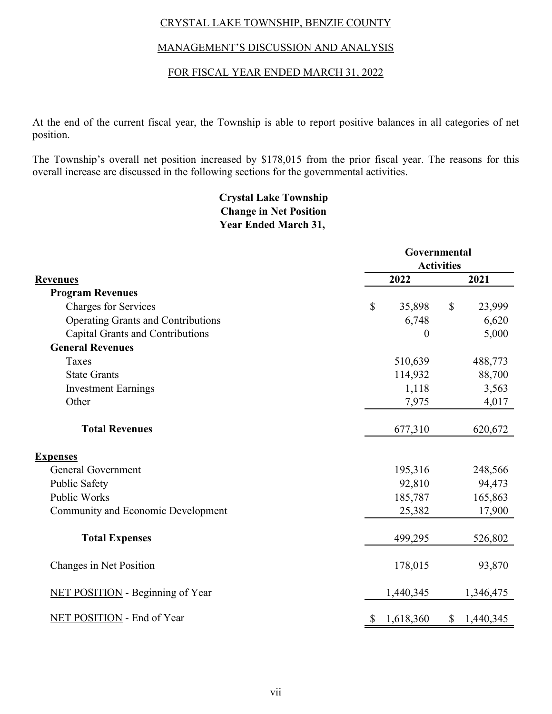# MANAGEMENT'S DISCUSSION AND ANALYSIS

# FOR FISCAL YEAR ENDED MARCH 31, 2022

At the end of the current fiscal year, the Township is able to report positive balances in all categories of net position.

The Township's overall net position increased by \$178,015 from the prior fiscal year. The reasons for this overall increase are discussed in the following sections for the governmental activities.

# **Year Ended March 31, Change in Net Position Crystal Lake Township**

|                                           |                 | Governmental           |  |  |  |  |  |
|-------------------------------------------|-----------------|------------------------|--|--|--|--|--|
|                                           |                 | <b>Activities</b>      |  |  |  |  |  |
| <b>Revenues</b>                           | 2022            | 2021                   |  |  |  |  |  |
| <b>Program Revenues</b>                   |                 |                        |  |  |  |  |  |
| <b>Charges for Services</b>               | \$<br>35,898    | $\mathbb{S}$<br>23,999 |  |  |  |  |  |
| <b>Operating Grants and Contributions</b> | 6,748           | 6,620                  |  |  |  |  |  |
| <b>Capital Grants and Contributions</b>   |                 | 5,000<br>0             |  |  |  |  |  |
| <b>General Revenues</b>                   |                 |                        |  |  |  |  |  |
| Taxes                                     | 510,639         | 488,773                |  |  |  |  |  |
| <b>State Grants</b>                       | 114,932         | 88,700                 |  |  |  |  |  |
| <b>Investment Earnings</b>                | 1,118           | 3,563                  |  |  |  |  |  |
| Other                                     | 7,975           | 4,017                  |  |  |  |  |  |
| <b>Total Revenues</b>                     | 677,310         | 620,672                |  |  |  |  |  |
| <b>Expenses</b>                           |                 |                        |  |  |  |  |  |
| <b>General Government</b>                 | 195,316         | 248,566                |  |  |  |  |  |
| Public Safety                             | 92,810          | 94,473                 |  |  |  |  |  |
| <b>Public Works</b>                       | 185,787         | 165,863                |  |  |  |  |  |
| <b>Community and Economic Development</b> | 25,382          | 17,900                 |  |  |  |  |  |
| <b>Total Expenses</b>                     | 499,295         | 526,802                |  |  |  |  |  |
| Changes in Net Position                   | 178,015         | 93,870                 |  |  |  |  |  |
| <b>NET POSITION</b> - Beginning of Year   | 1,440,345       | 1,346,475              |  |  |  |  |  |
| NET POSITION - End of Year                | 1,618,360<br>\$ | 1,440,345<br>\$        |  |  |  |  |  |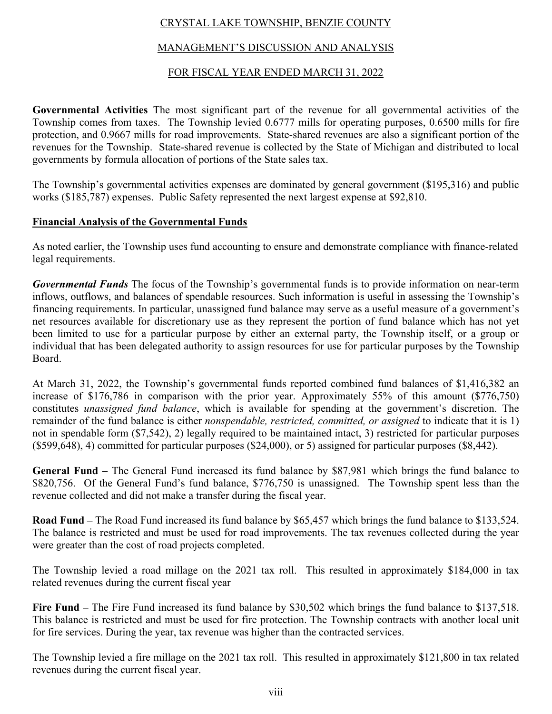# MANAGEMENT'S DISCUSSION AND ANALYSIS

# FOR FISCAL YEAR ENDED MARCH 31, 2022

**Governmental Activities** The most significant part of the revenue for all governmental activities of the Township comes from taxes. The Township levied 0.6777 mills for operating purposes, 0.6500 mills for fire protection, and 0.9667 mills for road improvements. State-shared revenues are also a significant portion of the revenues for the Township. State-shared revenue is collected by the State of Michigan and distributed to local governments by formula allocation of portions of the State sales tax.

The Township's governmental activities expenses are dominated by general government (\$195,316) and public works (\$185,787) expenses. Public Safety represented the next largest expense at \$92,810.

# **Financial Analysis of the Governmental Funds**

As noted earlier, the Township uses fund accounting to ensure and demonstrate compliance with finance-related legal requirements.

*Governmental Funds* The focus of the Township's governmental funds is to provide information on near-term inflows, outflows, and balances of spendable resources. Such information is useful in assessing the Township's financing requirements. In particular, unassigned fund balance may serve as a useful measure of a government's net resources available for discretionary use as they represent the portion of fund balance which has not yet been limited to use for a particular purpose by either an external party, the Township itself, or a group or individual that has been delegated authority to assign resources for use for particular purposes by the Township Board.

At March 31, 2022, the Township's governmental funds reported combined fund balances of \$1,416,382 an increase of \$176,786 in comparison with the prior year. Approximately 55% of this amount (\$776,750) constitutes *unassigned fund balance*, which is available for spending at the government's discretion. The remainder of the fund balance is either *nonspendable, restricted, committed, or assigned* to indicate that it is 1) not in spendable form (\$7,542), 2) legally required to be maintained intact, 3) restricted for particular purposes (\$599,648), 4) committed for particular purposes (\$24,000), or 5) assigned for particular purposes (\$8,442).

**General Fund –** The General Fund increased its fund balance by \$87,981 which brings the fund balance to \$820,756. Of the General Fund's fund balance, \$776,750 is unassigned. The Township spent less than the revenue collected and did not make a transfer during the fiscal year.

**Road Fund –** The Road Fund increased its fund balance by \$65,457 which brings the fund balance to \$133,524. The balance is restricted and must be used for road improvements. The tax revenues collected during the year were greater than the cost of road projects completed.

The Township levied a road millage on the 2021 tax roll. This resulted in approximately \$184,000 in tax related revenues during the current fiscal year

**Fire Fund –** The Fire Fund increased its fund balance by \$30,502 which brings the fund balance to \$137,518. This balance is restricted and must be used for fire protection. The Township contracts with another local unit for fire services. During the year, tax revenue was higher than the contracted services.

The Township levied a fire millage on the 2021 tax roll. This resulted in approximately \$121,800 in tax related revenues during the current fiscal year.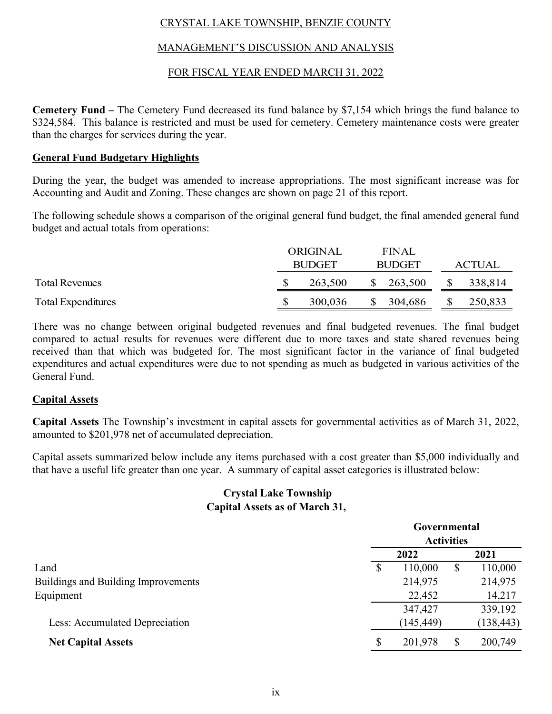# MANAGEMENT'S DISCUSSION AND ANALYSIS

# FOR FISCAL YEAR ENDED MARCH 31, 2022

**Cemetery Fund –** The Cemetery Fund decreased its fund balance by \$7,154 which brings the fund balance to \$324,584. This balance is restricted and must be used for cemetery. Cemetery maintenance costs were greater than the charges for services during the year.

# **General Fund Budgetary Highlights**

During the year, the budget was amended to increase appropriations. The most significant increase was for Accounting and Audit and Zoning. These changes are shown on page 21 of this report.

The following schedule shows a comparison of the original general fund budget, the final amended general fund budget and actual totals from operations:

|                       | ORIGINAL      |               | <b>FINAL</b> |               |         |
|-----------------------|---------------|---------------|--------------|---------------|---------|
|                       | <b>BUDGET</b> | <b>BUDGET</b> |              | <b>ACTUAL</b> |         |
| <b>Total Revenues</b> | 263,500       |               | \$263,500    |               | 338,814 |
| Total Expenditures    | 300,036       | S.            | 304,686      |               | 250,833 |

There was no change between original budgeted revenues and final budgeted revenues. The final budget compared to actual results for revenues were different due to more taxes and state shared revenues being received than that which was budgeted for. The most significant factor in the variance of final budgeted expenditures and actual expenditures were due to not spending as much as budgeted in various activities of the General Fund.

# **Capital Assets**

**Capital Assets** The Township's investment in capital assets for governmental activities as of March 31, 2022, amounted to \$201,978 net of accumulated depreciation.

Capital assets summarized below include any items purchased with a cost greater than \$5,000 individually and that have a useful life greater than one year. A summary of capital asset categories is illustrated below:

# **Crystal Lake Township Capital Assets as of March 31,**

|                                     |   | Governmental      |   |            |  |  |  |
|-------------------------------------|---|-------------------|---|------------|--|--|--|
|                                     |   | <b>Activities</b> |   |            |  |  |  |
|                                     |   | 2022              |   | 2021       |  |  |  |
| Land                                | S | 110,000           | S | 110,000    |  |  |  |
| Buildings and Building Improvements |   | 214,975           |   | 214,975    |  |  |  |
| Equipment                           |   | 22,452            |   | 14,217     |  |  |  |
|                                     |   | 347,427           |   | 339,192    |  |  |  |
| Less: Accumulated Depreciation      |   | (145, 449)        |   | (138, 443) |  |  |  |
| <b>Net Capital Assets</b>           |   | 201,978           |   | 200,749    |  |  |  |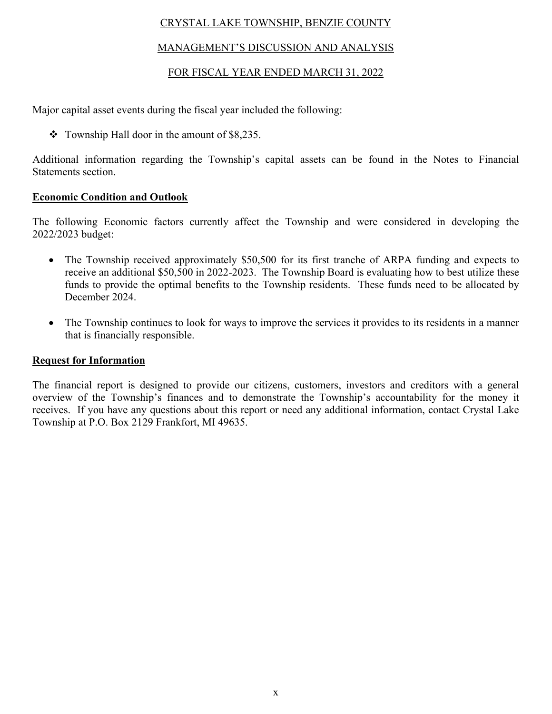# MANAGEMENT'S DISCUSSION AND ANALYSIS

# FOR FISCAL YEAR ENDED MARCH 31, 2022

Major capital asset events during the fiscal year included the following:

 $\div$  Township Hall door in the amount of \$8,235.

Additional information regarding the Township's capital assets can be found in the Notes to Financial Statements section.

# **Economic Condition and Outlook**

The following Economic factors currently affect the Township and were considered in developing the 2022/2023 budget:

- The Township received approximately \$50,500 for its first tranche of ARPA funding and expects to receive an additional \$50,500 in 2022-2023. The Township Board is evaluating how to best utilize these funds to provide the optimal benefits to the Township residents. These funds need to be allocated by December 2024.
- The Township continues to look for ways to improve the services it provides to its residents in a manner that is financially responsible.

# **Request for Information**

The financial report is designed to provide our citizens, customers, investors and creditors with a general overview of the Township's finances and to demonstrate the Township's accountability for the money it receives. If you have any questions about this report or need any additional information, contact Crystal Lake Township at P.O. Box 2129 Frankfort, MI 49635.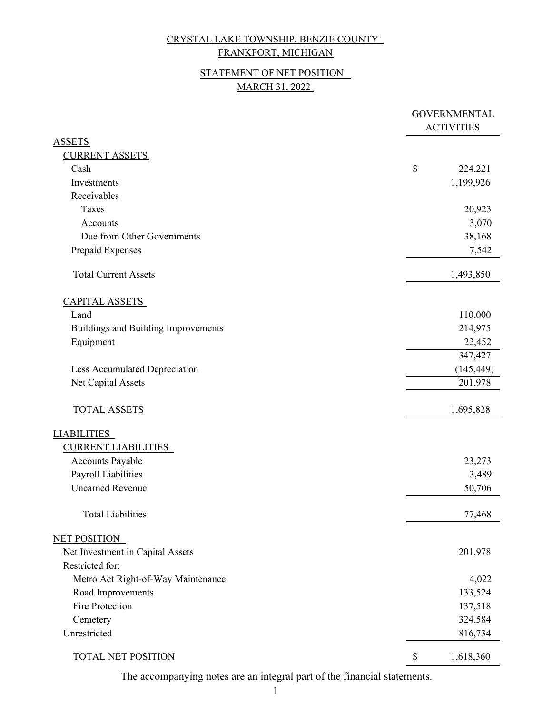# STATEMENT OF NET POSITION MARCH 31, 2022

|                                     | <b>GOVERNMENTAL</b><br><b>ACTIVITIES</b> |  |  |
|-------------------------------------|------------------------------------------|--|--|
| <b>ASSETS</b>                       |                                          |  |  |
| <b>CURRENT ASSETS</b>               |                                          |  |  |
| Cash                                | \$<br>224,221                            |  |  |
| Investments                         | 1,199,926                                |  |  |
| Receivables                         |                                          |  |  |
| Taxes                               | 20,923                                   |  |  |
| Accounts                            | 3,070                                    |  |  |
| Due from Other Governments          | 38,168                                   |  |  |
| Prepaid Expenses                    | 7,542                                    |  |  |
| <b>Total Current Assets</b>         | 1,493,850                                |  |  |
| <b>CAPITAL ASSETS</b>               |                                          |  |  |
| Land                                | 110,000                                  |  |  |
| Buildings and Building Improvements | 214,975                                  |  |  |
| Equipment                           | 22,452                                   |  |  |
|                                     | 347,427                                  |  |  |
| Less Accumulated Depreciation       | (145, 449)                               |  |  |
| Net Capital Assets                  | 201,978                                  |  |  |
| <b>TOTAL ASSETS</b>                 | 1,695,828                                |  |  |
| <b>LIABILITIES</b>                  |                                          |  |  |
| <b>CURRENT LIABILITIES</b>          |                                          |  |  |
| <b>Accounts Payable</b>             | 23,273                                   |  |  |
| Payroll Liabilities                 | 3,489                                    |  |  |
| <b>Unearned Revenue</b>             | 50,706                                   |  |  |
| <b>Total Liabilities</b>            | 77,468                                   |  |  |
| <b>NET POSITION</b>                 |                                          |  |  |
| Net Investment in Capital Assets    | 201,978                                  |  |  |
| Restricted for:                     |                                          |  |  |
| Metro Act Right-of-Way Maintenance  | 4,022                                    |  |  |
| Road Improvements                   | 133,524                                  |  |  |
| <b>Fire Protection</b>              | 137,518                                  |  |  |
| Cemetery                            | 324,584                                  |  |  |
| Unrestricted                        | 816,734                                  |  |  |
| TOTAL NET POSITION                  | 1,618,360                                |  |  |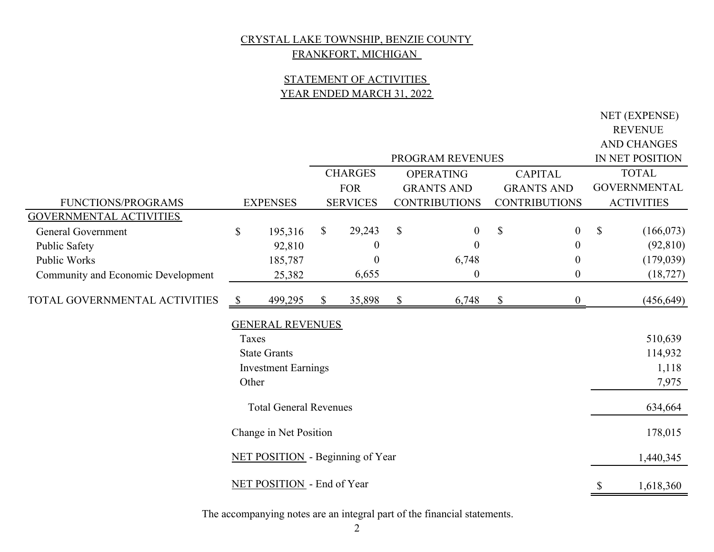# YEAR ENDED MARCH 31, 2022 STATEMENT OF ACTIVITIES

| NET (EXPENSE)  |
|----------------|
| <b>REVENUE</b> |

|                                           |       |                                  |                  |                  |                  |                      |                |                      |                           | AND CHANGES         |  |
|-------------------------------------------|-------|----------------------------------|------------------|------------------|------------------|----------------------|----------------|----------------------|---------------------------|---------------------|--|
|                                           |       |                                  | PROGRAM REVENUES |                  |                  |                      |                |                      |                           | IN NET POSITION     |  |
|                                           |       |                                  |                  | <b>CHARGES</b>   | <b>OPERATING</b> |                      | <b>CAPITAL</b> |                      | <b>TOTAL</b>              |                     |  |
|                                           |       |                                  |                  | <b>FOR</b>       |                  | <b>GRANTS AND</b>    |                | <b>GRANTS AND</b>    |                           | <b>GOVERNMENTAL</b> |  |
| FUNCTIONS/PROGRAMS                        |       | <b>EXPENSES</b>                  |                  | <b>SERVICES</b>  |                  | <b>CONTRIBUTIONS</b> |                | <b>CONTRIBUTIONS</b> |                           | <b>ACTIVITIES</b>   |  |
| <b>GOVERNMENTAL ACTIVITIES</b>            |       |                                  |                  |                  |                  |                      |                |                      |                           |                     |  |
| <b>General Government</b>                 | \$    | 195,316                          | $\mathbb{S}$     | 29,243           | $\mathbb{S}$     | $\overline{0}$       | $\mathbb{S}$   | $\overline{0}$       | $\boldsymbol{\mathsf{S}}$ | (166, 073)          |  |
| Public Safety                             |       | 92,810                           |                  | $\boldsymbol{0}$ |                  | $\theta$             |                | $\boldsymbol{0}$     |                           | (92, 810)           |  |
| Public Works                              |       | 185,787                          |                  | $\Omega$         |                  | 6,748                |                | $\boldsymbol{0}$     |                           | (179, 039)          |  |
| <b>Community and Economic Development</b> |       | 25,382                           |                  | 6,655            |                  | $\boldsymbol{0}$     |                | $\boldsymbol{0}$     |                           | (18, 727)           |  |
| TOTAL GOVERNMENTAL ACTIVITIES             | - \$  | 499,295                          | <sup>S</sup>     | 35,898           | $\mathbb{S}$     | 6,748                | $\mathcal{S}$  | $\boldsymbol{0}$     |                           | (456, 649)          |  |
|                                           |       | <b>GENERAL REVENUES</b>          |                  |                  |                  |                      |                |                      |                           |                     |  |
|                                           | Taxes |                                  |                  |                  |                  |                      |                |                      |                           | 510,639             |  |
|                                           |       | <b>State Grants</b>              |                  |                  |                  |                      |                |                      |                           | 114,932             |  |
|                                           |       | <b>Investment Earnings</b>       |                  |                  |                  |                      |                |                      |                           | 1,118               |  |
|                                           | Other |                                  |                  |                  |                  |                      |                |                      |                           | 7,975               |  |
|                                           |       | <b>Total General Revenues</b>    |                  |                  |                  |                      |                |                      |                           | 634,664             |  |
|                                           |       | Change in Net Position           |                  |                  |                  |                      |                |                      |                           | 178,015             |  |
|                                           |       | NET POSITION - Beginning of Year |                  |                  |                  |                      |                |                      |                           | 1,440,345           |  |
|                                           |       | NET POSITION - End of Year       |                  |                  |                  |                      |                |                      | \$                        | 1,618,360           |  |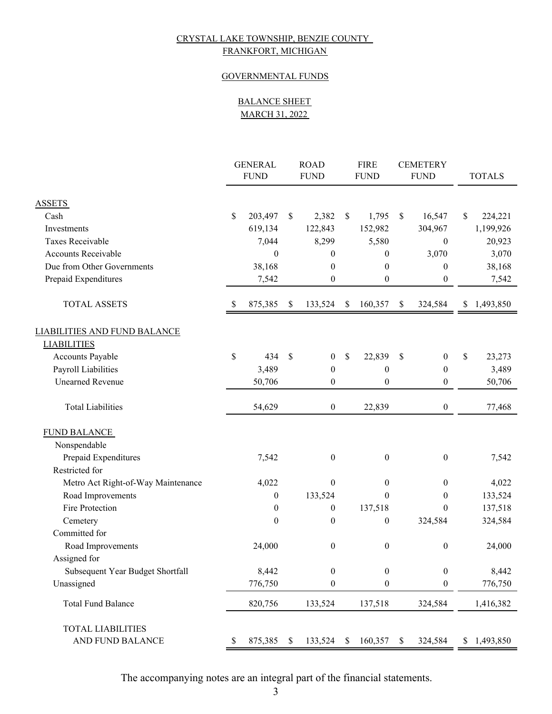# GOVERNMENTAL FUNDS

BALANCE SHEET MARCH 31, 2022

|                                     | <b>GENERAL</b><br><b>FUND</b> |                  | <b>ROAD</b><br><b>FUND</b> |                  | <b>FIRE</b><br><b>FUND</b> |                  | <b>CEMETERY</b><br><b>FUND</b> |                  | <b>TOTALS</b> |             |
|-------------------------------------|-------------------------------|------------------|----------------------------|------------------|----------------------------|------------------|--------------------------------|------------------|---------------|-------------|
| <b>ASSETS</b>                       |                               |                  |                            |                  |                            |                  |                                |                  |               |             |
| Cash                                | \$                            | 203,497          | \$                         | 2,382            | $\boldsymbol{\mathsf{S}}$  | 1,795            | \$                             | 16,547           | \$            | 224,221     |
| Investments                         |                               | 619,134          |                            | 122,843          |                            | 152,982          |                                | 304,967          |               | 1,199,926   |
| Taxes Receivable                    |                               | 7,044            |                            | 8,299            |                            | 5,580            |                                | $\mathbf{0}$     |               | 20,923      |
| <b>Accounts Receivable</b>          |                               | $\boldsymbol{0}$ |                            | $\boldsymbol{0}$ |                            | $\boldsymbol{0}$ |                                | 3,070            |               | 3,070       |
| Due from Other Governments          |                               | 38,168           |                            | $\boldsymbol{0}$ |                            | $\boldsymbol{0}$ |                                | $\boldsymbol{0}$ |               | 38,168      |
| Prepaid Expenditures                |                               | 7,542            |                            | $\boldsymbol{0}$ |                            | $\boldsymbol{0}$ |                                | $\boldsymbol{0}$ |               | 7,542       |
| <b>TOTAL ASSETS</b>                 | \$                            | 875,385          | S                          | 133,524          | \$                         | 160,357          | \$                             | 324,584          | \$            | 1,493,850   |
| <u>LIABILITIES AND FUND BALANCE</u> |                               |                  |                            |                  |                            |                  |                                |                  |               |             |
| <b>LIABILITIES</b>                  |                               |                  |                            |                  |                            |                  |                                |                  |               |             |
| Accounts Payable                    | \$                            | 434              | \$                         | $\boldsymbol{0}$ | $\mathbb{S}$               | 22,839           | \$                             | $\boldsymbol{0}$ | \$            | 23,273      |
| Payroll Liabilities                 |                               | 3,489            |                            | $\boldsymbol{0}$ |                            | $\boldsymbol{0}$ |                                | $\boldsymbol{0}$ |               | 3,489       |
| <b>Unearned Revenue</b>             |                               | 50,706           |                            | $\boldsymbol{0}$ |                            | $\boldsymbol{0}$ |                                | $\boldsymbol{0}$ |               | 50,706      |
| <b>Total Liabilities</b>            |                               | 54,629           |                            | $\boldsymbol{0}$ |                            | 22,839           |                                | $\boldsymbol{0}$ |               | 77,468      |
| <b>FUND BALANCE</b>                 |                               |                  |                            |                  |                            |                  |                                |                  |               |             |
| Nonspendable                        |                               |                  |                            |                  |                            |                  |                                |                  |               |             |
| Prepaid Expenditures                |                               | 7,542            |                            | $\boldsymbol{0}$ |                            | $\boldsymbol{0}$ |                                | $\boldsymbol{0}$ |               | 7,542       |
| Restricted for                      |                               |                  |                            |                  |                            |                  |                                |                  |               |             |
| Metro Act Right-of-Way Maintenance  |                               | 4,022            |                            | $\boldsymbol{0}$ |                            | $\boldsymbol{0}$ |                                | $\boldsymbol{0}$ |               | 4,022       |
| Road Improvements                   |                               | 0                |                            | 133,524          |                            | $\mathbf{0}$     |                                | $\mathbf{0}$     |               | 133,524     |
| Fire Protection                     |                               | $\boldsymbol{0}$ |                            | $\boldsymbol{0}$ |                            | 137,518          |                                | $\theta$         |               | 137,518     |
| Cemetery                            |                               | $\boldsymbol{0}$ |                            | $\boldsymbol{0}$ |                            | $\boldsymbol{0}$ |                                | 324,584          |               | 324,584     |
| Committed for                       |                               |                  |                            |                  |                            |                  |                                |                  |               |             |
| Road Improvements                   |                               | 24,000           |                            | $\boldsymbol{0}$ |                            | $\boldsymbol{0}$ |                                | $\boldsymbol{0}$ |               | 24,000      |
| Assigned for                        |                               |                  |                            |                  |                            |                  |                                |                  |               |             |
| Subsequent Year Budget Shortfall    |                               | 8,442            |                            | $\boldsymbol{0}$ |                            | $\boldsymbol{0}$ |                                | $\boldsymbol{0}$ |               | 8,442       |
| Unassigned                          |                               | 776,750          |                            | $\boldsymbol{0}$ |                            | $\boldsymbol{0}$ |                                | $\boldsymbol{0}$ |               | 776,750     |
| <b>Total Fund Balance</b>           |                               | 820,756          |                            | 133,524          |                            | 137,518          |                                | 324,584          |               | 1,416,382   |
| <b>TOTAL LIABILITIES</b>            |                               |                  |                            |                  |                            |                  |                                |                  |               |             |
| AND FUND BALANCE                    | P.                            | 875,385          | \$                         | 133,524          | \$                         | 160,357          | \$                             | 324,584          |               | \$1,493,850 |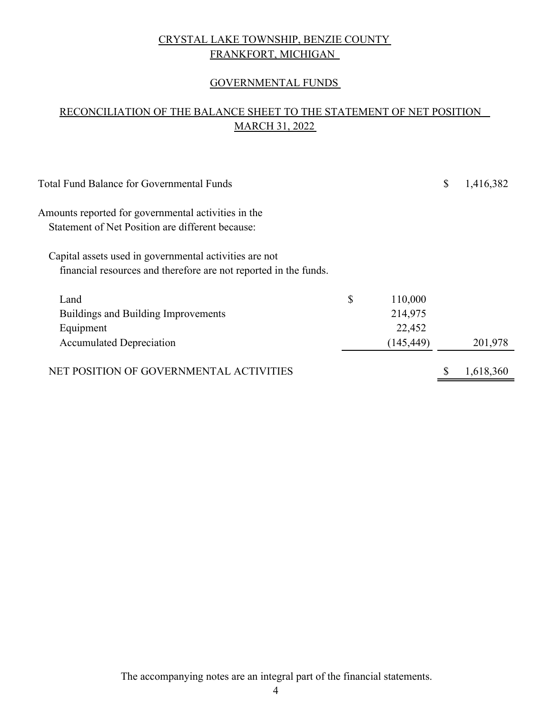# GOVERNMENTAL FUNDS

# RECONCILIATION OF THE BALANCE SHEET TO THE STATEMENT OF NET POSITION MARCH 31, 2022

| <b>Total Fund Balance for Governmental Funds</b>                 |               | \$<br>1,416,382 |
|------------------------------------------------------------------|---------------|-----------------|
| Amounts reported for governmental activities in the              |               |                 |
| Statement of Net Position are different because:                 |               |                 |
| Capital assets used in governmental activities are not           |               |                 |
| financial resources and therefore are not reported in the funds. |               |                 |
| Land                                                             | \$<br>110,000 |                 |
| Buildings and Building Improvements                              | 214,975       |                 |
| Equipment                                                        | 22,452        |                 |
| <b>Accumulated Depreciation</b>                                  | (145, 449)    | 201,978         |
| NET POSITION OF GOVERNMENTAL ACTIVITIES                          |               | 1,618,360       |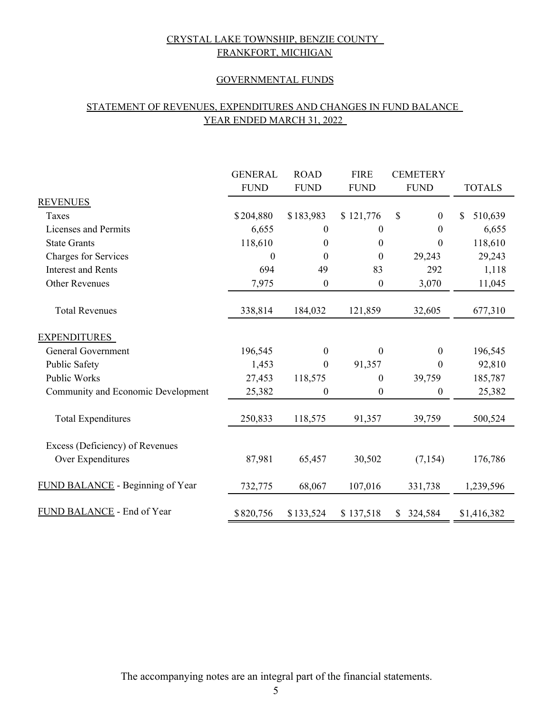# FRANKFORT, MICHIGAN CRYSTAL LAKE TOWNSHIP, BENZIE COUNTY

#### GOVERNMENTAL FUNDS

# YEAR ENDED MARCH 31, 2022 STATEMENT OF REVENUES, EXPENDITURES AND CHANGES IN FUND BALANCE

|                                    | <b>GENERAL</b> | <b>ROAD</b>      | <b>FIRE</b>      | <b>CEMETERY</b>    |               |
|------------------------------------|----------------|------------------|------------------|--------------------|---------------|
|                                    | <b>FUND</b>    | <b>FUND</b>      | <b>FUND</b>      | <b>FUND</b>        | <b>TOTALS</b> |
| <b>REVENUES</b>                    |                |                  |                  |                    |               |
| Taxes                              | \$204,880      | \$183,983        | \$121,776        | \$<br>$\mathbf{0}$ | 510,639<br>\$ |
| Licenses and Permits               | 6,655          | 0                | $\theta$         | $\Omega$           | 6,655         |
| <b>State Grants</b>                | 118,610        | $\boldsymbol{0}$ | $\boldsymbol{0}$ | $\boldsymbol{0}$   | 118,610       |
| <b>Charges for Services</b>        | $\theta$       | $\mathbf{0}$     | 0                | 29,243             | 29,243        |
| <b>Interest and Rents</b>          | 694            | 49               | 83               | 292                | 1,118         |
| <b>Other Revenues</b>              | 7,975          | $\boldsymbol{0}$ | $\boldsymbol{0}$ | 3,070              | 11,045        |
| <b>Total Revenues</b>              | 338,814        | 184,032          | 121,859          | 32,605             | 677,310       |
| <b>EXPENDITURES</b>                |                |                  |                  |                    |               |
| <b>General Government</b>          | 196,545        | $\boldsymbol{0}$ | $\theta$         | $\boldsymbol{0}$   | 196,545       |
| Public Safety                      | 1,453          | $\boldsymbol{0}$ | 91,357           | $\theta$           | 92,810        |
| <b>Public Works</b>                | 27,453         | 118,575          | $\mathbf{0}$     | 39,759             | 185,787       |
| Community and Economic Development | 25,382         | $\boldsymbol{0}$ | $\boldsymbol{0}$ | 0                  | 25,382        |
| <b>Total Expenditures</b>          | 250,833        | 118,575          | 91,357           | 39,759             | 500,524       |
| Excess (Deficiency) of Revenues    |                |                  |                  |                    |               |
| Over Expenditures                  | 87,981         | 65,457           | 30,502           | (7, 154)           | 176,786       |
| FUND BALANCE - Beginning of Year   | 732,775        | 68,067           | 107,016          | 331,738            | 1,239,596     |
| FUND BALANCE - End of Year         | \$820,756      | \$133,524        | \$137,518        | \$324,584          | \$1,416,382   |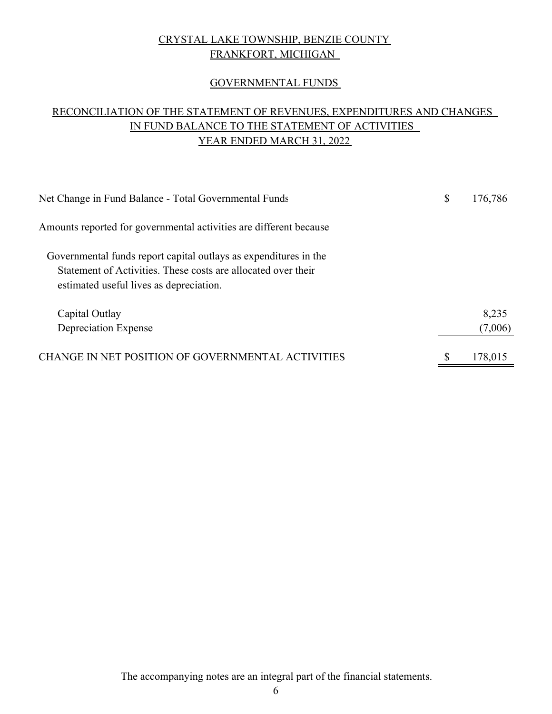# GOVERNMENTAL FUNDS

# RECONCILIATION OF THE STATEMENT OF REVENUES, EXPENDITURES AND CHANGES YEAR ENDED MARCH 31, 2022 IN FUND BALANCE TO THE STATEMENT OF ACTIVITIES

| Net Change in Fund Balance - Total Governmental Funds                                                                                                                        | \$<br>176,786    |
|------------------------------------------------------------------------------------------------------------------------------------------------------------------------------|------------------|
| Amounts reported for governmental activities are different because                                                                                                           |                  |
| Governmental funds report capital outlays as expenditures in the<br>Statement of Activities. These costs are allocated over their<br>estimated useful lives as depreciation. |                  |
| Capital Outlay<br>Depreciation Expense                                                                                                                                       | 8,235<br>(7,006) |
| CHANGE IN NET POSITION OF GOVERNMENTAL ACTIVITIES                                                                                                                            | \$<br>178,015    |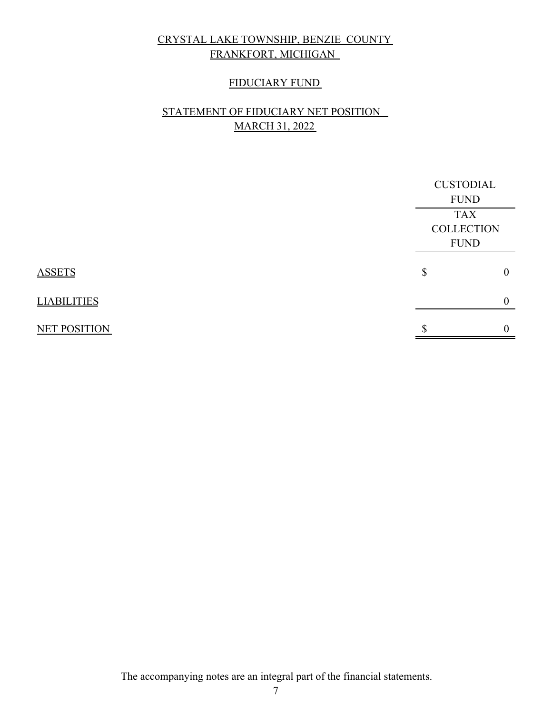# FIDUCIARY FUND

# STATEMENT OF FIDUCIARY NET POSITION MARCH 31, 2022

|                     | <b>CUSTODIAL</b>  |                  |
|---------------------|-------------------|------------------|
|                     | <b>FUND</b>       |                  |
|                     | <b>TAX</b>        |                  |
|                     | <b>COLLECTION</b> |                  |
|                     | <b>FUND</b>       |                  |
| <b>ASSETS</b>       | \$                | $\boldsymbol{0}$ |
| <b>LIABILITIES</b>  |                   | $\theta$         |
| <b>NET POSITION</b> | ึ                 | $\Omega$         |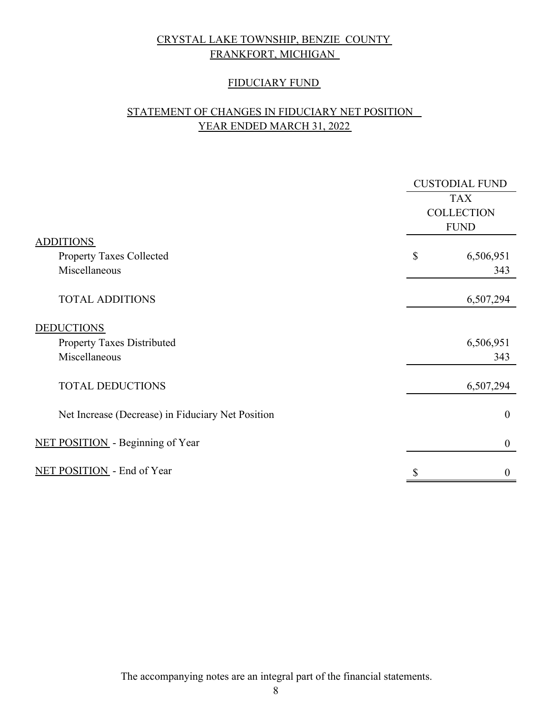# FIDUCIARY FUND

# YEAR ENDED MARCH 31, 2022 STATEMENT OF CHANGES IN FIDUCIARY NET POSITION

| <b>TAX</b><br><b>COLLECTION</b><br><b>FUND</b><br>6,506,951<br><b>Property Taxes Collected</b><br>\$<br>Miscellaneous<br>343<br><b>TOTAL ADDITIONS</b><br>6,507,294<br><b>Property Taxes Distributed</b><br>6,506,951<br>Miscellaneous<br>343<br><b>TOTAL DEDUCTIONS</b><br>6,507,294<br>Net Increase (Decrease) in Fiduciary Net Position<br>$\boldsymbol{0}$<br>$\boldsymbol{0}$<br>$\theta$ |                                  | <b>CUSTODIAL FUND</b> |
|------------------------------------------------------------------------------------------------------------------------------------------------------------------------------------------------------------------------------------------------------------------------------------------------------------------------------------------------------------------------------------------------|----------------------------------|-----------------------|
|                                                                                                                                                                                                                                                                                                                                                                                                |                                  |                       |
|                                                                                                                                                                                                                                                                                                                                                                                                |                                  |                       |
|                                                                                                                                                                                                                                                                                                                                                                                                |                                  |                       |
|                                                                                                                                                                                                                                                                                                                                                                                                | <b>ADDITIONS</b>                 |                       |
|                                                                                                                                                                                                                                                                                                                                                                                                |                                  |                       |
|                                                                                                                                                                                                                                                                                                                                                                                                |                                  |                       |
|                                                                                                                                                                                                                                                                                                                                                                                                |                                  |                       |
|                                                                                                                                                                                                                                                                                                                                                                                                | <b>DEDUCTIONS</b>                |                       |
|                                                                                                                                                                                                                                                                                                                                                                                                |                                  |                       |
|                                                                                                                                                                                                                                                                                                                                                                                                |                                  |                       |
|                                                                                                                                                                                                                                                                                                                                                                                                |                                  |                       |
|                                                                                                                                                                                                                                                                                                                                                                                                |                                  |                       |
|                                                                                                                                                                                                                                                                                                                                                                                                | NET POSITION - Beginning of Year |                       |
|                                                                                                                                                                                                                                                                                                                                                                                                | NET POSITION - End of Year       |                       |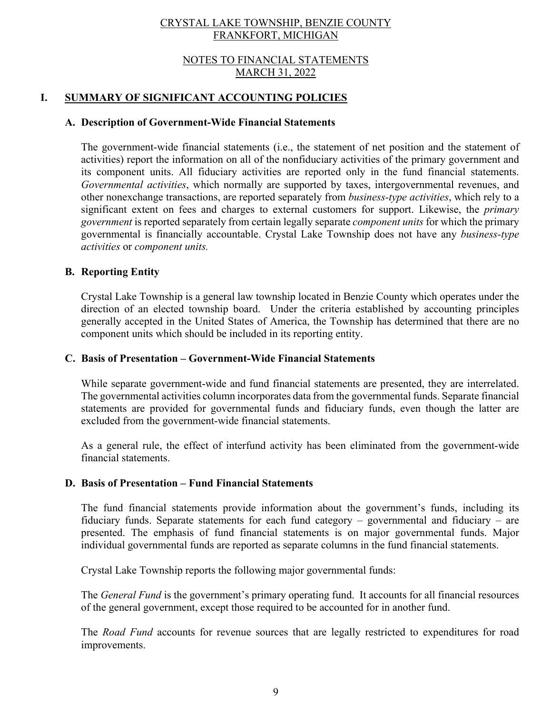## NOTES TO FINANCIAL STATEMENTS MARCH 31, 2022

# **I. SUMMARY OF SIGNIFICANT ACCOUNTING POLICIES**

#### **A. Description of Government-Wide Financial Statements**

The government-wide financial statements (i.e., the statement of net position and the statement of activities) report the information on all of the nonfiduciary activities of the primary government and its component units. All fiduciary activities are reported only in the fund financial statements. *Governmental activities*, which normally are supported by taxes, intergovernmental revenues, and other nonexchange transactions, are reported separately from *business-type activities*, which rely to a significant extent on fees and charges to external customers for support. Likewise, the *primary government* is reported separately from certain legally separate *component units* for which the primary governmental is financially accountable. Crystal Lake Township does not have any *business-type activities* or *component units.*

### **B. Reporting Entity**

Crystal Lake Township is a general law township located in Benzie County which operates under the direction of an elected township board. Under the criteria established by accounting principles generally accepted in the United States of America, the Township has determined that there are no component units which should be included in its reporting entity.

#### **C. Basis of Presentation – Government-Wide Financial Statements**

While separate government-wide and fund financial statements are presented, they are interrelated. The governmental activities column incorporates data from the governmental funds. Separate financial statements are provided for governmental funds and fiduciary funds, even though the latter are excluded from the government-wide financial statements.

As a general rule, the effect of interfund activity has been eliminated from the government-wide financial statements.

#### **D. Basis of Presentation – Fund Financial Statements**

The fund financial statements provide information about the government's funds, including its fiduciary funds. Separate statements for each fund category – governmental and fiduciary – are presented. The emphasis of fund financial statements is on major governmental funds. Major individual governmental funds are reported as separate columns in the fund financial statements.

Crystal Lake Township reports the following major governmental funds:

The *General Fund* is the government's primary operating fund. It accounts for all financial resources of the general government, except those required to be accounted for in another fund.

The *Road Fund* accounts for revenue sources that are legally restricted to expenditures for road improvements.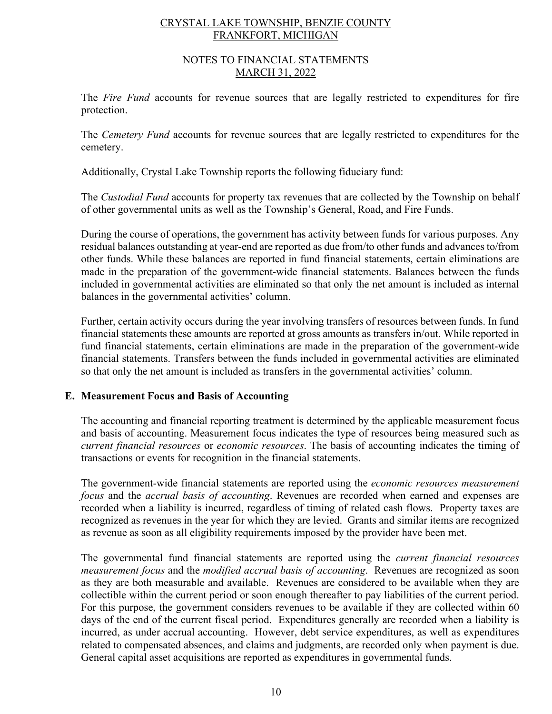### NOTES TO FINANCIAL STATEMENTS MARCH 31, 2022

The *Fire Fund* accounts for revenue sources that are legally restricted to expenditures for fire protection.

The *Cemetery Fund* accounts for revenue sources that are legally restricted to expenditures for the cemetery.

Additionally, Crystal Lake Township reports the following fiduciary fund:

The *Custodial Fund* accounts for property tax revenues that are collected by the Township on behalf of other governmental units as well as the Township's General, Road, and Fire Funds.

During the course of operations, the government has activity between funds for various purposes. Any residual balances outstanding at year-end are reported as due from/to other funds and advances to/from other funds. While these balances are reported in fund financial statements, certain eliminations are made in the preparation of the government-wide financial statements. Balances between the funds included in governmental activities are eliminated so that only the net amount is included as internal balances in the governmental activities' column.

Further, certain activity occurs during the year involving transfers of resources between funds. In fund financial statements these amounts are reported at gross amounts as transfers in/out. While reported in fund financial statements, certain eliminations are made in the preparation of the government-wide financial statements. Transfers between the funds included in governmental activities are eliminated so that only the net amount is included as transfers in the governmental activities' column.

# **E. Measurement Focus and Basis of Accounting**

The accounting and financial reporting treatment is determined by the applicable measurement focus and basis of accounting. Measurement focus indicates the type of resources being measured such as *current financial resources* or *economic resources*. The basis of accounting indicates the timing of transactions or events for recognition in the financial statements.

The government-wide financial statements are reported using the *economic resources measurement focus* and the *accrual basis of accounting*. Revenues are recorded when earned and expenses are recorded when a liability is incurred, regardless of timing of related cash flows. Property taxes are recognized as revenues in the year for which they are levied. Grants and similar items are recognized as revenue as soon as all eligibility requirements imposed by the provider have been met.

The governmental fund financial statements are reported using the *current financial resources measurement focus* and the *modified accrual basis of accounting*. Revenues are recognized as soon as they are both measurable and available. Revenues are considered to be available when they are collectible within the current period or soon enough thereafter to pay liabilities of the current period. For this purpose, the government considers revenues to be available if they are collected within 60 days of the end of the current fiscal period. Expenditures generally are recorded when a liability is incurred, as under accrual accounting. However, debt service expenditures, as well as expenditures related to compensated absences, and claims and judgments, are recorded only when payment is due. General capital asset acquisitions are reported as expenditures in governmental funds.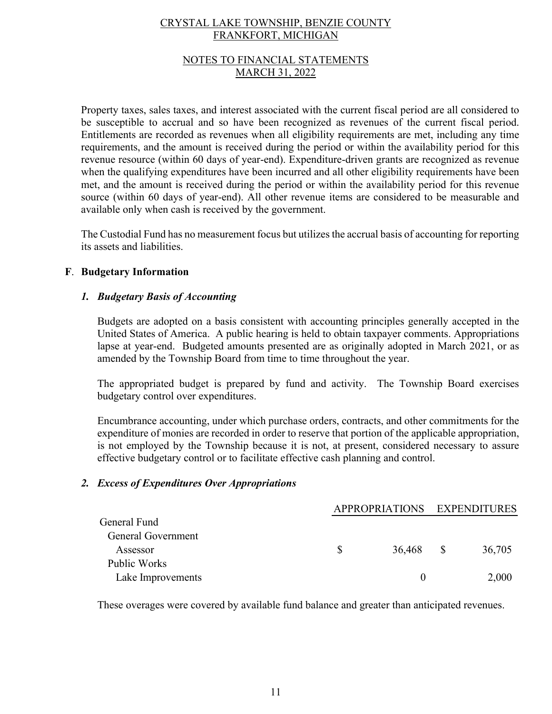# NOTES TO FINANCIAL STATEMENTS MARCH 31, 2022

Property taxes, sales taxes, and interest associated with the current fiscal period are all considered to be susceptible to accrual and so have been recognized as revenues of the current fiscal period. Entitlements are recorded as revenues when all eligibility requirements are met, including any time requirements, and the amount is received during the period or within the availability period for this revenue resource (within 60 days of year-end). Expenditure-driven grants are recognized as revenue when the qualifying expenditures have been incurred and all other eligibility requirements have been met, and the amount is received during the period or within the availability period for this revenue source (within 60 days of year-end). All other revenue items are considered to be measurable and available only when cash is received by the government.

The Custodial Fund has no measurement focus but utilizes the accrual basis of accounting for reporting its assets and liabilities.

### **F**. **Budgetary Information**

### *1. Budgetary Basis of Accounting*

 Budgets are adopted on a basis consistent with accounting principles generally accepted in the United States of America. A public hearing is held to obtain taxpayer comments. Appropriations lapse at year-end. Budgeted amounts presented are as originally adopted in March 2021, or as amended by the Township Board from time to time throughout the year.

 The appropriated budget is prepared by fund and activity. The Township Board exercises budgetary control over expenditures.

 Encumbrance accounting, under which purchase orders, contracts, and other commitments for the expenditure of monies are recorded in order to reserve that portion of the applicable appropriation, is not employed by the Township because it is not, at present, considered necessary to assure effective budgetary control or to facilitate effective cash planning and control.

#### *2. Excess of Expenditures Over Appropriations*

|                    |    | APPROPRIATIONS EXPENDITURES |              |        |  |  |
|--------------------|----|-----------------------------|--------------|--------|--|--|
| General Fund       |    |                             |              |        |  |  |
| General Government |    |                             |              |        |  |  |
| Assessor           | S. | 36,468                      | $\mathbb{S}$ | 36,705 |  |  |
| Public Works       |    |                             |              |        |  |  |
| Lake Improvements  |    | $\mathbf{0}$                |              | 2,000  |  |  |

These overages were covered by available fund balance and greater than anticipated revenues.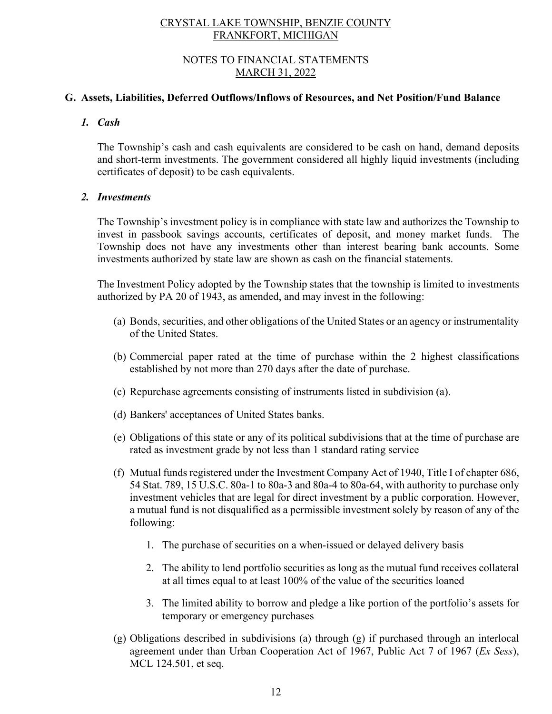## NOTES TO FINANCIAL STATEMENTS MARCH 31, 2022

#### **G. Assets, Liabilities, Deferred Outflows/Inflows of Resources, and Net Position/Fund Balance**

#### *1. Cash*

The Township's cash and cash equivalents are considered to be cash on hand, demand deposits and short-term investments. The government considered all highly liquid investments (including certificates of deposit) to be cash equivalents.

#### *2. Investments*

The Township's investment policy is in compliance with state law and authorizes the Township to invest in passbook savings accounts, certificates of deposit, and money market funds. The Township does not have any investments other than interest bearing bank accounts. Some investments authorized by state law are shown as cash on the financial statements.

The Investment Policy adopted by the Township states that the township is limited to investments authorized by PA 20 of 1943, as amended, and may invest in the following:

- (a) Bonds, securities, and other obligations of the United States or an agency or instrumentality of the United States.
- (b) Commercial paper rated at the time of purchase within the 2 highest classifications established by not more than 270 days after the date of purchase.
- (c) Repurchase agreements consisting of instruments listed in subdivision (a).
- (d) Bankers' acceptances of United States banks.
- (e) Obligations of this state or any of its political subdivisions that at the time of purchase are rated as investment grade by not less than 1 standard rating service
- (f) Mutual funds registered under the Investment Company Act of 1940, Title I of chapter 686, 54 Stat. 789, 15 U.S.C. 80a-1 to 80a-3 and 80a-4 to 80a-64, with authority to purchase only investment vehicles that are legal for direct investment by a public corporation. However, a mutual fund is not disqualified as a permissible investment solely by reason of any of the following:
	- 1. The purchase of securities on a when-issued or delayed delivery basis
	- 2. The ability to lend portfolio securities as long as the mutual fund receives collateral at all times equal to at least 100% of the value of the securities loaned
	- 3. The limited ability to borrow and pledge a like portion of the portfolio's assets for temporary or emergency purchases
- (g) Obligations described in subdivisions (a) through (g) if purchased through an interlocal agreement under than Urban Cooperation Act of 1967, Public Act 7 of 1967 (*Ex Sess*), MCL 124.501, et seq.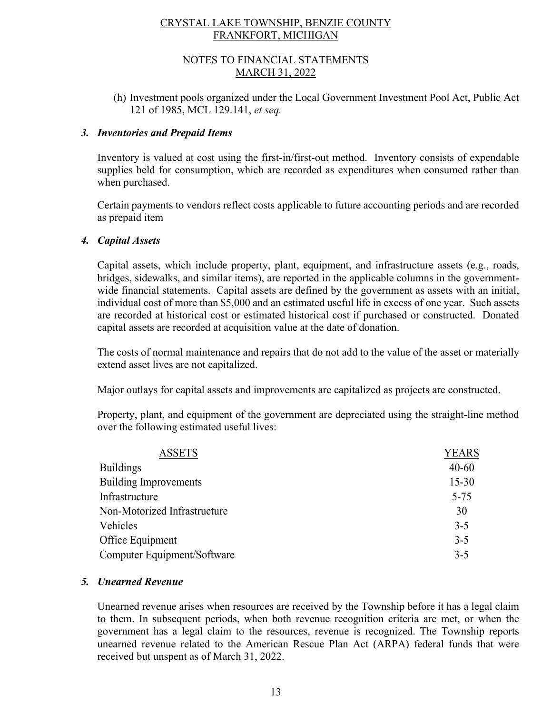### NOTES TO FINANCIAL STATEMENTS MARCH 31, 2022

(h) Investment pools organized under the Local Government Investment Pool Act, Public Act 121 of 1985, MCL 129.141, *et seq.* 

#### *3. Inventories and Prepaid Items*

Inventory is valued at cost using the first-in/first-out method. Inventory consists of expendable supplies held for consumption, which are recorded as expenditures when consumed rather than when purchased.

Certain payments to vendors reflect costs applicable to future accounting periods and are recorded as prepaid item

#### *4. Capital Assets*

Capital assets, which include property, plant, equipment, and infrastructure assets (e.g., roads, bridges, sidewalks, and similar items), are reported in the applicable columns in the governmentwide financial statements. Capital assets are defined by the government as assets with an initial, individual cost of more than \$5,000 and an estimated useful life in excess of one year. Such assets are recorded at historical cost or estimated historical cost if purchased or constructed. Donated capital assets are recorded at acquisition value at the date of donation.

The costs of normal maintenance and repairs that do not add to the value of the asset or materially extend asset lives are not capitalized.

Major outlays for capital assets and improvements are capitalized as projects are constructed.

Property, plant, and equipment of the government are depreciated using the straight-line method over the following estimated useful lives:

| <b>ASSETS</b>                | <b>YEARS</b> |
|------------------------------|--------------|
| <b>Buildings</b>             | $40 - 60$    |
| <b>Building Improvements</b> | $15 - 30$    |
| Infrastructure               | $5 - 75$     |
| Non-Motorized Infrastructure | 30           |
| Vehicles                     | $3 - 5$      |
| Office Equipment             | $3 - 5$      |
| Computer Equipment/Software  | $3-5$        |

#### *5. Unearned Revenue*

 Unearned revenue arises when resources are received by the Township before it has a legal claim to them. In subsequent periods, when both revenue recognition criteria are met, or when the government has a legal claim to the resources, revenue is recognized. The Township reports unearned revenue related to the American Rescue Plan Act (ARPA) federal funds that were received but unspent as of March 31, 2022.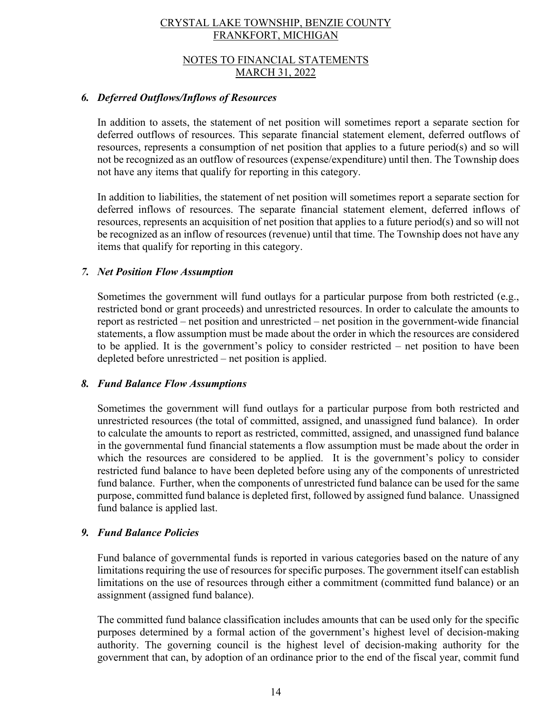# NOTES TO FINANCIAL STATEMENTS MARCH 31, 2022

### *6. Deferred Outflows/Inflows of Resources*

In addition to assets, the statement of net position will sometimes report a separate section for deferred outflows of resources. This separate financial statement element, deferred outflows of resources, represents a consumption of net position that applies to a future period(s) and so will not be recognized as an outflow of resources (expense/expenditure) until then. The Township does not have any items that qualify for reporting in this category.

In addition to liabilities, the statement of net position will sometimes report a separate section for deferred inflows of resources. The separate financial statement element, deferred inflows of resources, represents an acquisition of net position that applies to a future period(s) and so will not be recognized as an inflow of resources (revenue) until that time. The Township does not have any items that qualify for reporting in this category.

#### *7. Net Position Flow Assumption*

Sometimes the government will fund outlays for a particular purpose from both restricted (e.g., restricted bond or grant proceeds) and unrestricted resources. In order to calculate the amounts to report as restricted – net position and unrestricted – net position in the government-wide financial statements, a flow assumption must be made about the order in which the resources are considered to be applied. It is the government's policy to consider restricted – net position to have been depleted before unrestricted – net position is applied.

#### *8. Fund Balance Flow Assumptions*

Sometimes the government will fund outlays for a particular purpose from both restricted and unrestricted resources (the total of committed, assigned, and unassigned fund balance). In order to calculate the amounts to report as restricted, committed, assigned, and unassigned fund balance in the governmental fund financial statements a flow assumption must be made about the order in which the resources are considered to be applied. It is the government's policy to consider restricted fund balance to have been depleted before using any of the components of unrestricted fund balance. Further, when the components of unrestricted fund balance can be used for the same purpose, committed fund balance is depleted first, followed by assigned fund balance. Unassigned fund balance is applied last.

# *9. Fund Balance Policies*

Fund balance of governmental funds is reported in various categories based on the nature of any limitations requiring the use of resources for specific purposes. The government itself can establish limitations on the use of resources through either a commitment (committed fund balance) or an assignment (assigned fund balance).

The committed fund balance classification includes amounts that can be used only for the specific purposes determined by a formal action of the government's highest level of decision-making authority. The governing council is the highest level of decision-making authority for the government that can, by adoption of an ordinance prior to the end of the fiscal year, commit fund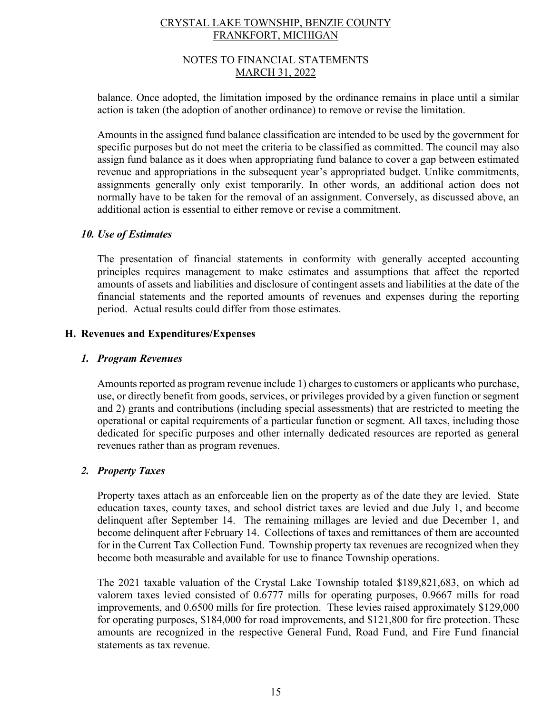# NOTES TO FINANCIAL STATEMENTS MARCH 31, 2022

balance. Once adopted, the limitation imposed by the ordinance remains in place until a similar action is taken (the adoption of another ordinance) to remove or revise the limitation.

Amounts in the assigned fund balance classification are intended to be used by the government for specific purposes but do not meet the criteria to be classified as committed. The council may also assign fund balance as it does when appropriating fund balance to cover a gap between estimated revenue and appropriations in the subsequent year's appropriated budget. Unlike commitments, assignments generally only exist temporarily. In other words, an additional action does not normally have to be taken for the removal of an assignment. Conversely, as discussed above, an additional action is essential to either remove or revise a commitment.

#### *10. Use of Estimates*

The presentation of financial statements in conformity with generally accepted accounting principles requires management to make estimates and assumptions that affect the reported amounts of assets and liabilities and disclosure of contingent assets and liabilities at the date of the financial statements and the reported amounts of revenues and expenses during the reporting period. Actual results could differ from those estimates.

### **H. Revenues and Expenditures/Expenses**

#### *1. Program Revenues*

Amounts reported as program revenue include 1) charges to customers or applicants who purchase, use, or directly benefit from goods, services, or privileges provided by a given function or segment and 2) grants and contributions (including special assessments) that are restricted to meeting the operational or capital requirements of a particular function or segment. All taxes, including those dedicated for specific purposes and other internally dedicated resources are reported as general revenues rather than as program revenues.

# *2. Property Taxes*

Property taxes attach as an enforceable lien on the property as of the date they are levied. State education taxes, county taxes, and school district taxes are levied and due July 1, and become delinquent after September 14. The remaining millages are levied and due December 1, and become delinquent after February 14. Collections of taxes and remittances of them are accounted for in the Current Tax Collection Fund. Township property tax revenues are recognized when they become both measurable and available for use to finance Township operations.

The 2021 taxable valuation of the Crystal Lake Township totaled \$189,821,683, on which ad valorem taxes levied consisted of 0.6777 mills for operating purposes, 0.9667 mills for road improvements, and 0.6500 mills for fire protection. These levies raised approximately \$129,000 for operating purposes, \$184,000 for road improvements, and \$121,800 for fire protection. These amounts are recognized in the respective General Fund, Road Fund, and Fire Fund financial statements as tax revenue.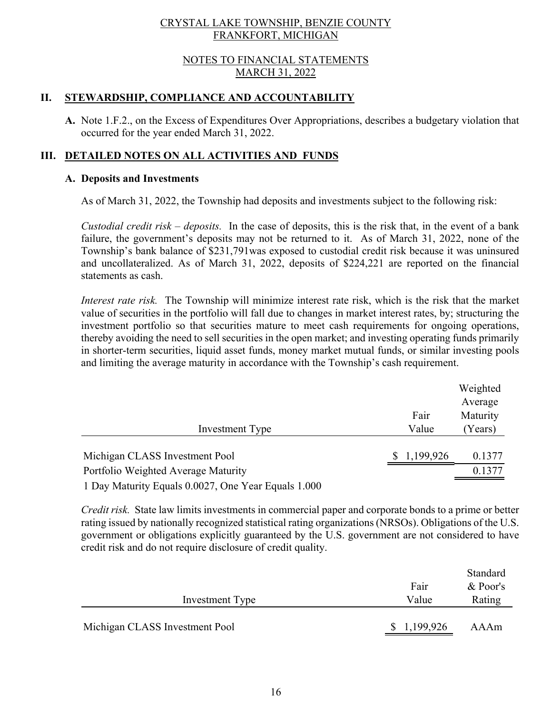# NOTES TO FINANCIAL STATEMENTS MARCH 31, 2022

# **II. STEWARDSHIP, COMPLIANCE AND ACCOUNTABILITY**

**A.** Note 1.F.2., on the Excess of Expenditures Over Appropriations, describes a budgetary violation that occurred for the year ended March 31, 2022.

# **III. DETAILED NOTES ON ALL ACTIVITIES AND FUNDS**

# **A. Deposits and Investments**

As of March 31, 2022, the Township had deposits and investments subject to the following risk:

*Custodial credit risk – deposits.* In the case of deposits, this is the risk that, in the event of a bank failure, the government's deposits may not be returned to it. As of March 31, 2022, none of the Township's bank balance of \$231,791was exposed to custodial credit risk because it was uninsured and uncollateralized. As of March 31, 2022, deposits of \$224,221 are reported on the financial statements as cash.

*Interest rate risk.* The Township will minimize interest rate risk, which is the risk that the market value of securities in the portfolio will fall due to changes in market interest rates, by; structuring the investment portfolio so that securities mature to meet cash requirements for ongoing operations, thereby avoiding the need to sell securities in the open market; and investing operating funds primarily in shorter-term securities, liquid asset funds, money market mutual funds, or similar investing pools and limiting the average maturity in accordance with the Township's cash requirement.

|                                                     |           | Weighted |
|-----------------------------------------------------|-----------|----------|
|                                                     |           | Average  |
|                                                     | Fair      | Maturity |
| Investment Type                                     | Value     | Years)   |
|                                                     |           |          |
| Michigan CLASS Investment Pool                      | 1,199,926 | 0.1377   |
| Portfolio Weighted Average Maturity                 |           | 0.1377   |
| 1 Day Maturity Equals 0.0027, One Year Equals 1.000 |           |          |

*Credit risk.* State law limits investments in commercial paper and corporate bonds to a prime or better rating issued by nationally recognized statistical rating organizations (NRSOs). Obligations of the U.S. government or obligations explicitly guaranteed by the U.S. government are not considered to have credit risk and do not require disclosure of credit quality.

| Investment Type                | Fair<br>Value             | Standard<br>& Poor's<br>Rating |
|--------------------------------|---------------------------|--------------------------------|
| Michigan CLASS Investment Pool | 1,199,926<br>$\mathbb{S}$ | AAAm                           |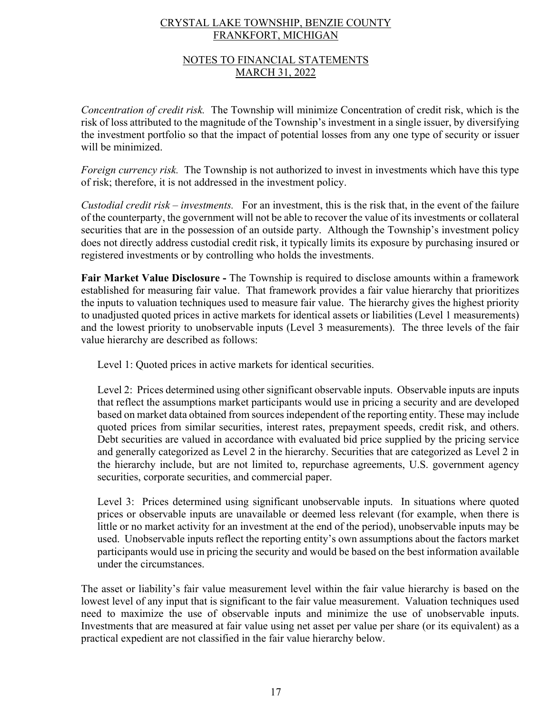# NOTES TO FINANCIAL STATEMENTS MARCH 31, 2022

*Concentration of credit risk.* The Township will minimize Concentration of credit risk, which is the risk of loss attributed to the magnitude of the Township's investment in a single issuer, by diversifying the investment portfolio so that the impact of potential losses from any one type of security or issuer will be minimized.

*Foreign currency risk.* The Township is not authorized to invest in investments which have this type of risk; therefore, it is not addressed in the investment policy.

*Custodial credit risk – investments.* For an investment, this is the risk that, in the event of the failure of the counterparty, the government will not be able to recover the value of its investments or collateral securities that are in the possession of an outside party. Although the Township's investment policy does not directly address custodial credit risk, it typically limits its exposure by purchasing insured or registered investments or by controlling who holds the investments.

**Fair Market Value Disclosure -** The Township is required to disclose amounts within a framework established for measuring fair value. That framework provides a fair value hierarchy that prioritizes the inputs to valuation techniques used to measure fair value. The hierarchy gives the highest priority to unadjusted quoted prices in active markets for identical assets or liabilities (Level 1 measurements) and the lowest priority to unobservable inputs (Level 3 measurements). The three levels of the fair value hierarchy are described as follows:

Level 1: Quoted prices in active markets for identical securities.

Level 2: Prices determined using other significant observable inputs. Observable inputs are inputs that reflect the assumptions market participants would use in pricing a security and are developed based on market data obtained from sources independent of the reporting entity. These may include quoted prices from similar securities, interest rates, prepayment speeds, credit risk, and others. Debt securities are valued in accordance with evaluated bid price supplied by the pricing service and generally categorized as Level 2 in the hierarchy. Securities that are categorized as Level 2 in the hierarchy include, but are not limited to, repurchase agreements, U.S. government agency securities, corporate securities, and commercial paper.

Level 3: Prices determined using significant unobservable inputs. In situations where quoted prices or observable inputs are unavailable or deemed less relevant (for example, when there is little or no market activity for an investment at the end of the period), unobservable inputs may be used. Unobservable inputs reflect the reporting entity's own assumptions about the factors market participants would use in pricing the security and would be based on the best information available under the circumstances.

The asset or liability's fair value measurement level within the fair value hierarchy is based on the lowest level of any input that is significant to the fair value measurement. Valuation techniques used need to maximize the use of observable inputs and minimize the use of unobservable inputs. Investments that are measured at fair value using net asset per value per share (or its equivalent) as a practical expedient are not classified in the fair value hierarchy below.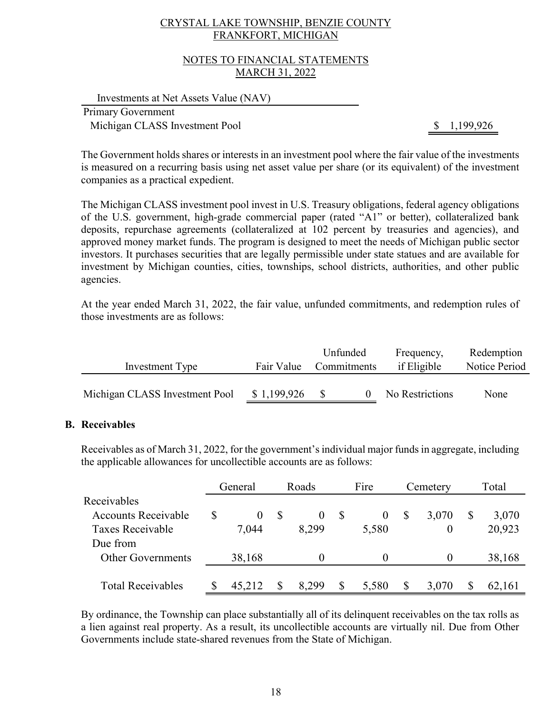### NOTES TO FINANCIAL STATEMENTS MARCH 31, 2022

Investments at Net Assets Value (NAV)

Primary Government Michigan CLASS Investment Pool \$ 1,199,926

The Government holds shares or interests in an investment pool where the fair value of the investments is measured on a recurring basis using net asset value per share (or its equivalent) of the investment companies as a practical expedient.

The Michigan CLASS investment pool invest in U.S. Treasury obligations, federal agency obligations of the U.S. government, high-grade commercial paper (rated "A1" or better), collateralized bank deposits, repurchase agreements (collateralized at 102 percent by treasuries and agencies), and approved money market funds. The program is designed to meet the needs of Michigan public sector investors. It purchases securities that are legally permissible under state statues and are available for investment by Michigan counties, cities, townships, school districts, authorities, and other public agencies.

At the year ended March 31, 2022, the fair value, unfunded commitments, and redemption rules of those investments are as follows:

| Investment Type                | Fair Value  | Unfunded<br>Commitments |  | Frequency,<br>if Eligible | Redemption<br>Notice Period |  |  |
|--------------------------------|-------------|-------------------------|--|---------------------------|-----------------------------|--|--|
| Michigan CLASS Investment Pool | \$1,199,926 |                         |  | No Restrictions           | None                        |  |  |

#### **B. Receivables**

Receivables as of March 31, 2022, for the government's individual major funds in aggregate, including the applicable allowances for uncollectible accounts are as follows:

|                            | General        |   | Roads    |              | Fire     | Cemetery |          |   | Total  |
|----------------------------|----------------|---|----------|--------------|----------|----------|----------|---|--------|
| Receivables                |                |   |          |              |          |          |          |   |        |
| <b>Accounts Receivable</b> | \$<br>$\theta$ | S | $\theta$ | <sup>S</sup> | $\theta$ | S        | 3,070    | S | 3,070  |
| Taxes Receivable           | 7,044          |   | 8,299    |              | 5,580    |          | $\theta$ |   | 20,923 |
| Due from                   |                |   |          |              |          |          |          |   |        |
| <b>Other Governments</b>   | 38,168         |   | $\theta$ |              |          |          |          |   | 38,168 |
|                            |                |   |          |              |          |          |          |   |        |
| <b>Total Receivables</b>   | 45.212         |   | 8.299    | \$           | 5,580    | S        | 3,070    |   | 62,161 |

By ordinance, the Township can place substantially all of its delinquent receivables on the tax rolls as a lien against real property. As a result, its uncollectible accounts are virtually nil. Due from Other Governments include state-shared revenues from the State of Michigan.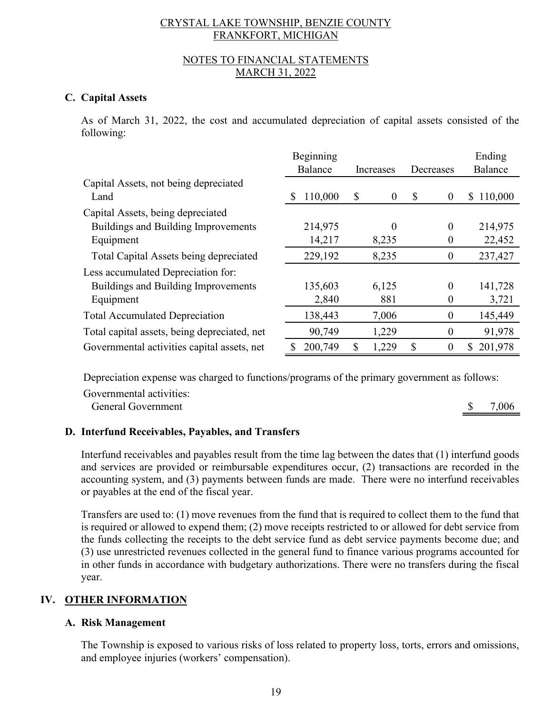### NOTES TO FINANCIAL STATEMENTS MARCH 31, 2022

# **C. Capital Assets**

As of March 31, 2022, the cost and accumulated depreciation of capital assets consisted of the following:

|                                              | Beginning |                |               | Ending                  |
|----------------------------------------------|-----------|----------------|---------------|-------------------------|
|                                              | Balance   | Increases      | Decreases     | Balance                 |
| Capital Assets, not being depreciated        |           |                |               |                         |
| Land                                         | 110,000   | \$<br>$\theta$ | S<br>$\theta$ | 110,000<br>$\mathbb{S}$ |
| Capital Assets, being depreciated            |           |                |               |                         |
| Buildings and Building Improvements          | 214,975   | 0              | $\Omega$      | 214,975                 |
| Equipment                                    | 14,217    | 8,235          | $\theta$      | 22,452                  |
| Total Capital Assets being depreciated       | 229,192   | 8,235          | $\theta$      | 237,427                 |
| Less accumulated Depreciation for:           |           |                |               |                         |
| Buildings and Building Improvements          | 135,603   | 6,125          | $\theta$      | 141,728                 |
| Equipment                                    | 2,840     | 881            | 0             | 3,721                   |
| <b>Total Accumulated Depreciation</b>        | 138,443   | 7,006          | $\Omega$      | 145,449                 |
| Total capital assets, being depreciated, net | 90,749    | 1,229          | $\Omega$      | 91,978                  |
| Governmental activities capital assets, net  | 200,749   | \$<br>1,229    | \$            | 201,978<br>\$           |

Depreciation expense was charged to functions/programs of the primary government as follows:

Governmental activities:

General Government Superior Superior Superior Superior Superior Superior Superior Superior Superior Superior Superior Superior Superior Superior Superior Superior Superior Superior Superior Superior Superior Superior Super

# **D. Interfund Receivables, Payables, and Transfers**

Interfund receivables and payables result from the time lag between the dates that (1) interfund goods and services are provided or reimbursable expenditures occur, (2) transactions are recorded in the accounting system, and (3) payments between funds are made. There were no interfund receivables or payables at the end of the fiscal year.

Transfers are used to: (1) move revenues from the fund that is required to collect them to the fund that is required or allowed to expend them; (2) move receipts restricted to or allowed for debt service from the funds collecting the receipts to the debt service fund as debt service payments become due; and (3) use unrestricted revenues collected in the general fund to finance various programs accounted for in other funds in accordance with budgetary authorizations. There were no transfers during the fiscal year.

# **IV. OTHER INFORMATION**

# **A. Risk Management**

The Township is exposed to various risks of loss related to property loss, torts, errors and omissions, and employee injuries (workers' compensation).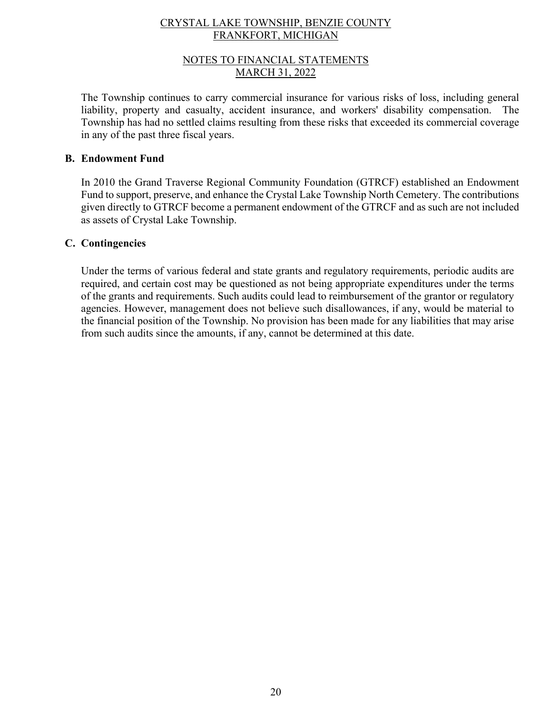### NOTES TO FINANCIAL STATEMENTS MARCH 31, 2022

The Township continues to carry commercial insurance for various risks of loss, including general liability, property and casualty, accident insurance, and workers' disability compensation. The Township has had no settled claims resulting from these risks that exceeded its commercial coverage in any of the past three fiscal years.

### **B. Endowment Fund**

In 2010 the Grand Traverse Regional Community Foundation (GTRCF) established an Endowment Fund to support, preserve, and enhance the Crystal Lake Township North Cemetery. The contributions given directly to GTRCF become a permanent endowment of the GTRCF and as such are not included as assets of Crystal Lake Township.

### **C. Contingencies**

Under the terms of various federal and state grants and regulatory requirements, periodic audits are required, and certain cost may be questioned as not being appropriate expenditures under the terms of the grants and requirements. Such audits could lead to reimbursement of the grantor or regulatory agencies. However, management does not believe such disallowances, if any, would be material to the financial position of the Township. No provision has been made for any liabilities that may arise from such audits since the amounts, if any, cannot be determined at this date.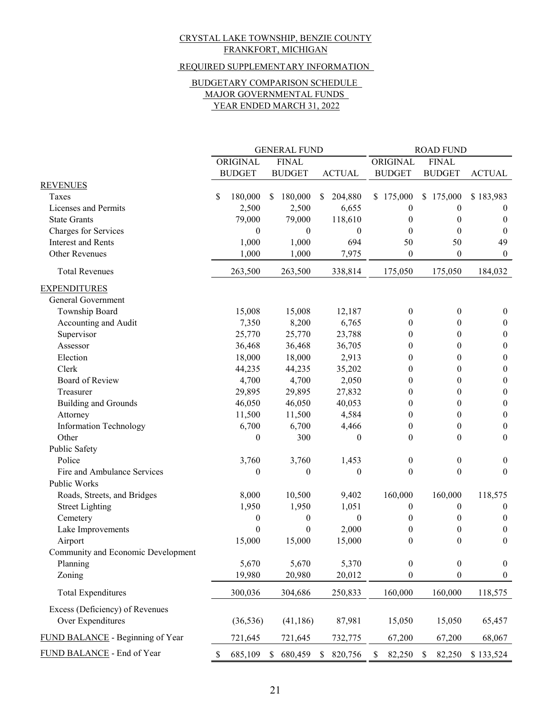# REQUIRED SUPPLEMENTARY INFORMATION

# YEAR ENDED MARCH 31, 2022 BUDGETARY COMPARISON SCHEDULE MAJOR GOVERNMENTAL FUNDS

|                                    | <b>GENERAL FUND</b><br><b>ROAD FUND</b> |                  |              |                  |              |                  |                |                  |              |                  |                  |
|------------------------------------|-----------------------------------------|------------------|--------------|------------------|--------------|------------------|----------------|------------------|--------------|------------------|------------------|
|                                    |                                         | ORIGINAL         | <b>FINAL</b> |                  |              |                  |                | ORIGINAL         |              | <b>FINAL</b>     |                  |
|                                    |                                         | <b>BUDGET</b>    |              | <b>BUDGET</b>    |              | <b>ACTUAL</b>    |                | <b>BUDGET</b>    |              | <b>BUDGET</b>    | <b>ACTUAL</b>    |
| <b>REVENUES</b>                    |                                         |                  |              |                  |              |                  |                |                  |              |                  |                  |
| Taxes                              | \$                                      | 180,000          | <sup>S</sup> | 180,000          | <sup>S</sup> | 204,880          | $\mathbb{S}^-$ | 175,000          |              | \$175,000        | \$183,983        |
| <b>Licenses and Permits</b>        |                                         | 2,500            |              | 2,500            |              | 6,655            |                | $\Omega$         |              | $\boldsymbol{0}$ | $\theta$         |
| <b>State Grants</b>                |                                         | 79,000           |              | 79,000           |              | 118,610          |                | $\theta$         |              | 0                | $\overline{0}$   |
| <b>Charges for Services</b>        |                                         | $\theta$         |              | $\theta$         |              | $\Omega$         |                | $\Omega$         |              | $\boldsymbol{0}$ | $\theta$         |
| <b>Interest and Rents</b>          |                                         | 1,000            |              | 1,000            |              | 694              |                | 50               |              | 50               | 49               |
| <b>Other Revenues</b>              |                                         | 1,000            |              | 1,000            |              | 7,975            |                | $\boldsymbol{0}$ |              | $\boldsymbol{0}$ | $\boldsymbol{0}$ |
| <b>Total Revenues</b>              |                                         | 263,500          |              | 263,500          |              | 338,814          |                | 175,050          |              | 175,050          | 184,032          |
| <b>EXPENDITURES</b>                |                                         |                  |              |                  |              |                  |                |                  |              |                  |                  |
| <b>General Government</b>          |                                         |                  |              |                  |              |                  |                |                  |              |                  |                  |
| Township Board                     |                                         | 15,008           |              | 15,008           |              | 12,187           |                | $\boldsymbol{0}$ |              | $\boldsymbol{0}$ | $\overline{0}$   |
| Accounting and Audit               |                                         | 7,350            |              | 8,200            |              | 6,765            |                | $\boldsymbol{0}$ |              | $\boldsymbol{0}$ | $\boldsymbol{0}$ |
| Supervisor                         |                                         | 25,770           |              | 25,770           |              | 23,788           |                | 0                |              | 0                | $\overline{0}$   |
| Assessor                           |                                         | 36,468           |              | 36,468           |              | 36,705           |                | $\theta$         |              | $\boldsymbol{0}$ | $\boldsymbol{0}$ |
| Election                           |                                         | 18,000           |              | 18,000           |              | 2,913            |                | 0                |              | $\boldsymbol{0}$ | $\overline{0}$   |
| Clerk                              |                                         | 44,235           |              | 44,235           |              | 35,202           |                | $\boldsymbol{0}$ |              | $\boldsymbol{0}$ | $\boldsymbol{0}$ |
| <b>Board of Review</b>             |                                         | 4,700            |              | 4,700            |              | 2,050            |                | $\Omega$         |              | 0                | $\theta$         |
| Treasurer                          |                                         | 29,895           |              | 29,895           |              | 27,832           |                | 0                |              | $\boldsymbol{0}$ | $\overline{0}$   |
| <b>Building and Grounds</b>        |                                         | 46,050           |              | 46,050           |              | 40,053           |                | 0                |              | $\boldsymbol{0}$ | $\boldsymbol{0}$ |
| Attorney                           |                                         | 11,500           |              | 11,500           |              | 4,584            |                | 0                |              | $\boldsymbol{0}$ | $\boldsymbol{0}$ |
| <b>Information Technology</b>      |                                         | 6,700            |              | 6,700            |              | 4,466            |                | $\boldsymbol{0}$ |              | $\boldsymbol{0}$ | $\boldsymbol{0}$ |
| Other                              |                                         | $\boldsymbol{0}$ |              | 300              |              | $\boldsymbol{0}$ |                | $\boldsymbol{0}$ |              | $\boldsymbol{0}$ | $\boldsymbol{0}$ |
| <b>Public Safety</b>               |                                         |                  |              |                  |              |                  |                |                  |              |                  |                  |
| Police                             |                                         | 3,760            |              | 3,760            |              | 1,453            |                | $\boldsymbol{0}$ |              | $\boldsymbol{0}$ | $\boldsymbol{0}$ |
| Fire and Ambulance Services        |                                         | $\boldsymbol{0}$ |              | $\boldsymbol{0}$ |              | $\boldsymbol{0}$ |                | $\boldsymbol{0}$ |              | $\boldsymbol{0}$ | $\boldsymbol{0}$ |
| Public Works                       |                                         |                  |              |                  |              |                  |                |                  |              |                  |                  |
| Roads, Streets, and Bridges        |                                         | 8,000            |              | 10,500           |              | 9,402            |                | 160,000          |              | 160,000          | 118,575          |
| <b>Street Lighting</b>             |                                         | 1,950            |              | 1,950            |              | 1,051            |                | $\boldsymbol{0}$ |              | $\theta$         | $\theta$         |
| Cemetery                           |                                         | $\boldsymbol{0}$ |              | $\boldsymbol{0}$ |              | $\boldsymbol{0}$ |                | 0                |              | $\theta$         | $\overline{0}$   |
| Lake Improvements                  |                                         | $\boldsymbol{0}$ |              | $\overline{0}$   |              | 2,000            |                | 0                |              | $\boldsymbol{0}$ | $\overline{0}$   |
| Airport                            |                                         | 15,000           |              | 15,000           |              | 15,000           |                | 0                |              | $\boldsymbol{0}$ | $\overline{0}$   |
| Community and Economic Development |                                         |                  |              |                  |              |                  |                |                  |              |                  |                  |
| Planning                           |                                         | 5,670            |              | 5,670            |              | 5,370            |                | $\boldsymbol{0}$ |              | $\boldsymbol{0}$ | $\bf{0}$         |
| Zoning                             |                                         | 19,980           |              | 20,980           |              | 20,012           |                | 0                |              | $\boldsymbol{0}$ | $\boldsymbol{0}$ |
| <b>Total Expenditures</b>          |                                         | 300,036          |              | 304,686          |              | 250,833          |                | 160,000          |              | 160,000          | 118,575          |
| Excess (Deficiency) of Revenues    |                                         |                  |              |                  |              |                  |                |                  |              |                  |                  |
| Over Expenditures                  |                                         | (36, 536)        |              | (41, 186)        |              | 87,981           |                | 15,050           |              | 15,050           | 65,457           |
| FUND BALANCE - Beginning of Year   |                                         | 721,645          |              | 721,645          |              | 732,775          |                | 67,200           |              | 67,200           | 68,067           |
| FUND BALANCE - End of Year         | \$                                      | 685,109          | $\mathbb{S}$ | 680,459          | $\mathbb{S}$ | 820,756          | \$             | 82,250           | $\mathbb{S}$ | 82,250           | \$133,524        |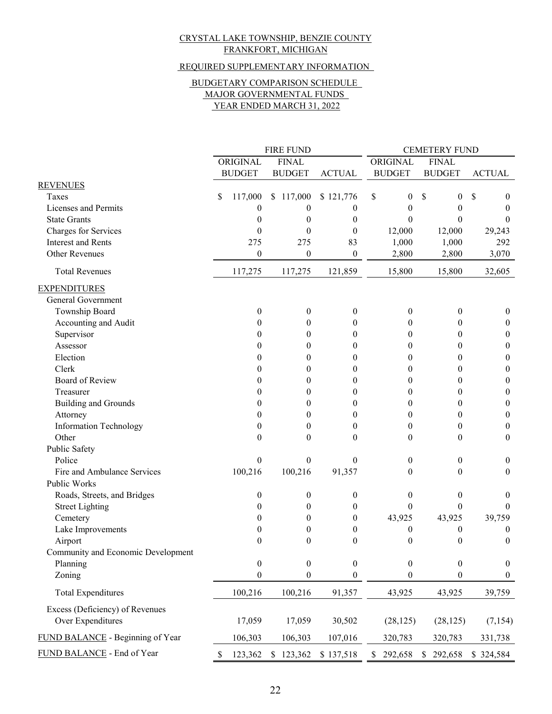# REQUIRED SUPPLEMENTARY INFORMATION

# BUDGETARY COMPARISON SCHEDULE MAJOR GOVERNMENTAL FUNDS YEAR ENDED MARCH 31, 2022

|                                                      | <b>FIRE FUND</b> |                  |              |                  |                  |    | <b>CEMETERY FUND</b> |              |                  |    |                  |  |
|------------------------------------------------------|------------------|------------------|--------------|------------------|------------------|----|----------------------|--------------|------------------|----|------------------|--|
|                                                      |                  | ORIGINAL         | <b>FINAL</b> |                  |                  |    | ORIGINAL             |              | <b>FINAL</b>     |    |                  |  |
|                                                      |                  | <b>BUDGET</b>    |              | <b>BUDGET</b>    | <b>ACTUAL</b>    |    | <b>BUDGET</b>        |              | <b>BUDGET</b>    |    | <b>ACTUAL</b>    |  |
| <b>REVENUES</b>                                      |                  |                  |              |                  |                  |    |                      |              |                  |    |                  |  |
| Taxes                                                | \$               | 117,000          |              | \$117,000        | \$121,776        | \$ | $\boldsymbol{0}$     | $\mathbb{S}$ | $\overline{0}$   | \$ | $\theta$         |  |
| <b>Licenses and Permits</b>                          |                  | $_{0}$           |              | $\Omega$         | $\Omega$         |    | $\theta$             |              | $\theta$         |    | $\theta$         |  |
| <b>State Grants</b>                                  |                  |                  |              | 0                | 0                |    | 0                    |              | $\Omega$         |    | $\theta$         |  |
| <b>Charges for Services</b>                          |                  | $^{(1)}$         |              | $\Omega$         | $\theta$         |    | 12,000               |              | 12,000           |    | 29,243           |  |
| <b>Interest and Rents</b>                            |                  | 275              |              | 275              | 83               |    | 1,000                |              | 1,000            |    | 292              |  |
| <b>Other Revenues</b>                                |                  | $\boldsymbol{0}$ |              | $\boldsymbol{0}$ | $\boldsymbol{0}$ |    | 2,800                |              | 2,800            |    | 3,070            |  |
| <b>Total Revenues</b>                                |                  | 117,275          |              | 117,275          | 121,859          |    | 15,800               |              | 15,800           |    | 32,605           |  |
| <b>EXPENDITURES</b>                                  |                  |                  |              |                  |                  |    |                      |              |                  |    |                  |  |
| <b>General Government</b>                            |                  |                  |              |                  |                  |    |                      |              |                  |    |                  |  |
| Township Board                                       |                  | $\theta$         |              | $\boldsymbol{0}$ | $\theta$         |    | $\boldsymbol{0}$     |              | $\theta$         |    | $\theta$         |  |
| Accounting and Audit                                 |                  | 0                |              | $\theta$         | 0                |    | $\boldsymbol{0}$     |              | $\boldsymbol{0}$ |    | $\theta$         |  |
| Supervisor                                           |                  |                  |              | $\mathbf{0}$     | $_{0}$           |    | $\theta$             |              | $\theta$         |    | 0                |  |
| Assessor                                             |                  |                  |              | 0                | 0                |    | $\boldsymbol{0}$     |              | $\theta$         |    | $\boldsymbol{0}$ |  |
| Election                                             |                  | 0                |              | 0                | $_{0}$           |    | $\theta$             |              | $\boldsymbol{0}$ |    | $\theta$         |  |
| Clerk                                                |                  | 0                |              | 0                | 0                |    | $\boldsymbol{0}$     |              | $\boldsymbol{0}$ |    | $\boldsymbol{0}$ |  |
| <b>Board of Review</b>                               |                  |                  |              |                  | $\mathbf{0}$     |    | $\theta$             |              | $\theta$         |    | 0                |  |
| Treasurer                                            |                  | 0                |              | 0                | $\mathbf{0}$     |    | $\theta$             |              | $\overline{0}$   |    | 0                |  |
| <b>Building and Grounds</b>                          |                  | 0                |              | 0                |                  |    | $\boldsymbol{0}$     |              | $\boldsymbol{0}$ |    | $\boldsymbol{0}$ |  |
| Attorney                                             |                  | $_{0}$           |              | 0                | 0                |    | $\boldsymbol{0}$     |              | $\overline{0}$   |    | $\theta$         |  |
| <b>Information Technology</b>                        |                  | 0                |              | $\theta$         | 0                |    | $\boldsymbol{0}$     |              | $\boldsymbol{0}$ |    | $\boldsymbol{0}$ |  |
| Other                                                |                  | 0                |              | $\theta$         | 0                |    | $\boldsymbol{0}$     |              | $\boldsymbol{0}$ |    | $\boldsymbol{0}$ |  |
| <b>Public Safety</b>                                 |                  |                  |              |                  |                  |    |                      |              |                  |    |                  |  |
| Police                                               |                  | 0                |              | 0                | $_{0}$           |    | $\boldsymbol{0}$     |              | $\theta$         |    | $\boldsymbol{0}$ |  |
| Fire and Ambulance Services                          |                  | 100,216          |              | 100,216          | 91,357           |    | $\boldsymbol{0}$     |              | $\boldsymbol{0}$ |    | $\boldsymbol{0}$ |  |
| Public Works                                         |                  |                  |              |                  |                  |    |                      |              |                  |    |                  |  |
| Roads, Streets, and Bridges                          |                  | $\theta$         |              | $\theta$         | 0                |    | $\boldsymbol{0}$     |              | $\theta$         |    | $\bf{0}$         |  |
| <b>Street Lighting</b>                               |                  | 0                |              | $\theta$         |                  |    | $\theta$             |              | $\overline{0}$   |    | $\boldsymbol{0}$ |  |
| Cemetery                                             |                  | $\theta$         |              | $\theta$         | $\theta$         |    | 43,925               |              | 43,925           |    | 39,759           |  |
| Lake Improvements                                    |                  | 0                |              | $\boldsymbol{0}$ | 0                |    | $\overline{0}$       |              | $\boldsymbol{0}$ |    | $\theta$         |  |
| Airport                                              |                  | $_{0}$           |              | $\Omega$         | 0                |    | $\boldsymbol{0}$     |              | $\theta$         |    | $\boldsymbol{0}$ |  |
| Community and Economic Development                   |                  |                  |              |                  |                  |    |                      |              |                  |    |                  |  |
| Planning                                             |                  | $\boldsymbol{0}$ |              | $\boldsymbol{0}$ | $\boldsymbol{0}$ |    | $\boldsymbol{0}$     |              | $\boldsymbol{0}$ |    | $\overline{0}$   |  |
| Zoning                                               |                  | $\overline{0}$   |              | $\overline{0}$   | $\theta$         |    | $\overline{0}$       |              | $\theta$         |    | $\overline{0}$   |  |
| <b>Total Expenditures</b>                            |                  | 100,216          |              | 100,216          | 91,357           |    | 43,925               |              | 43,925           |    | 39,759           |  |
| Excess (Deficiency) of Revenues<br>Over Expenditures |                  | 17,059           |              | 17,059           | 30,502           |    | (28, 125)            |              | (28, 125)        |    | (7,154)          |  |
| FUND BALANCE - Beginning of Year                     |                  | 106,303          |              | 106,303          | 107,016          |    | 320,783              |              | 320,783          |    | 331,738          |  |
| FUND BALANCE - End of Year                           |                  | 123,362          |              | \$123,362        | \$137,518        |    | 292,658              | S            | 292,658          |    | \$324,584        |  |